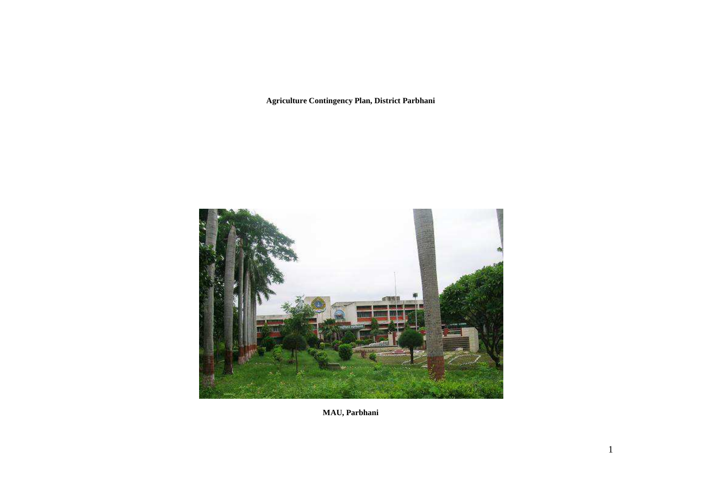**Agriculture Contingency Plan, District Parbhani** 



**MAU, Parbhani**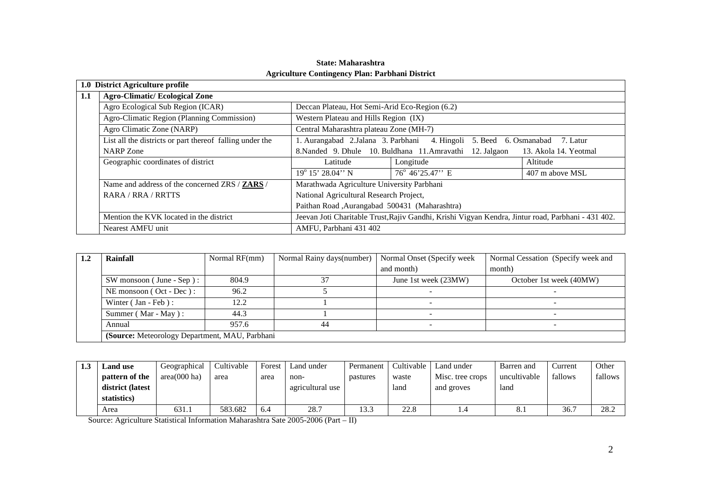|     | 1.0 District Agriculture profile                         |                                                                                    |                                                                                                    |                 |  |  |
|-----|----------------------------------------------------------|------------------------------------------------------------------------------------|----------------------------------------------------------------------------------------------------|-----------------|--|--|
| 1.1 | <b>Agro-Climatic/Ecological Zone</b>                     |                                                                                    |                                                                                                    |                 |  |  |
|     | Agro Ecological Sub Region (ICAR)                        | Deccan Plateau, Hot Semi-Arid Eco-Region (6.2)                                     |                                                                                                    |                 |  |  |
|     | Agro-Climatic Region (Planning Commission)               | Western Plateau and Hills Region (IX)                                              |                                                                                                    |                 |  |  |
|     | Agro Climatic Zone (NARP)                                | Central Maharashtra plateau Zone (MH-7)                                            |                                                                                                    |                 |  |  |
|     | List all the districts or part thereof falling under the |                                                                                    | 1. Aurangabad 2.Jalana 3. Parbhani 4. Hingoli 5. Beed 6. Osmanabad                                 | 7. Latur        |  |  |
|     | <b>NARP</b> Zone                                         | 8. Nanded 9. Dhule 10. Buldhana 11. Amravathi 12. Jalgaon<br>13. Akola 14. Yeotmal |                                                                                                    |                 |  |  |
|     | Geographic coordinates of district                       | Latitude                                                                           | Longitude                                                                                          | Altitude        |  |  |
|     |                                                          | $19^{\circ}$ 15' 28.04" N                                                          | $76^{\circ}$ 46'25.47'' E                                                                          | 407 m above MSL |  |  |
|     | Name and address of the concerned ZRS / ZARS /           | Marathwada Agriculture University Parbhani                                         |                                                                                                    |                 |  |  |
|     | RARA / RRA / RRTTS                                       | National Agricultural Research Project,                                            |                                                                                                    |                 |  |  |
|     |                                                          | Paithan Road, Aurangabad 500431 (Maharashtra)                                      |                                                                                                    |                 |  |  |
|     | Mention the KVK located in the district                  |                                                                                    | Jeevan Joti Charitable Trust, Rajiv Gandhi, Krishi Vigyan Kendra, Jintur road, Parbhani - 431 402. |                 |  |  |
|     | Nearest AMFU unit                                        | AMFU, Parbhani 431 402                                                             |                                                                                                    |                 |  |  |

## **State: Maharashtra Agriculture Contingency Plan: Parbhani District**

| 1.2 | Rainfall                                        | Normal RF(mm) | Normal Rainy days (number) | Normal Onset (Specify week | Normal Cessation (Specify week and |
|-----|-------------------------------------------------|---------------|----------------------------|----------------------------|------------------------------------|
|     |                                                 |               |                            | and month)                 | month)                             |
|     | $SW$ monsoon (June - Sep):                      | 804.9         |                            | June 1st week (23MW)       | October 1st week (40MW)            |
|     | NE monsoon (Oct - Dec):                         | 96.2          |                            |                            |                                    |
|     | Winter $( Jan - Feb)$ :                         | 12.2          |                            |                            |                                    |
|     | Summer (Mar - May):                             | 44.3          |                            |                            |                                    |
|     | Annual                                          | 957.6         | 44                         |                            |                                    |
|     | (Source: Meteorology Department, MAU, Parbhani) |               |                            |                            |                                    |

| 1.3 | <b>Land use</b>  | Geographical | Cultivable | Forest | Land under       | Permanent | Cultivable | Land under       | Barren and   | Current | Other   |
|-----|------------------|--------------|------------|--------|------------------|-----------|------------|------------------|--------------|---------|---------|
|     | pattern of the   | area(000 ha) | area       | area   | non-             | pastures  | waste      | Misc. tree crops | uncultivable | fallows | fallows |
|     | district (latest |              |            |        | agricultural use |           | land       | and groves       | land         |         |         |
|     | statistics)      |              |            |        |                  |           |            |                  |              |         |         |
|     | Area             | 631.1        | 583.682    | 6.4    | 28.7             | 13.3      | 22.8       |                  | 8.1          | 36.7    | 28.2    |

Source: Agriculture Statistical Information Maharashtra Sate 2005-2006 (Part – II)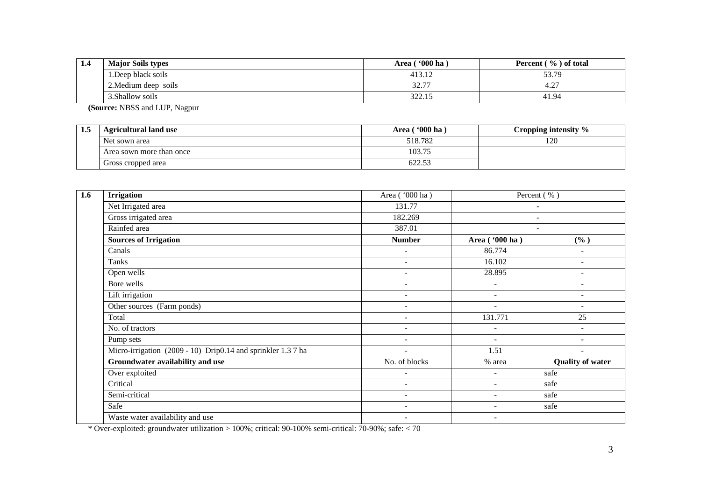| 1.4 | <b>Major Soils types</b> | $^{\circ}000$ ha<br>Area | Percent $(\% )$ of total |
|-----|--------------------------|--------------------------|--------------------------|
|     | 1. Deep black soils      | 413.1.                   | 53.79                    |
|     | 2. Medium deep soils     | 327<br>ا پير             | $\sim$<br><b>T.4</b>     |
|     | 3.Shallow soils          | 222<br>344.IJ            | 41.94                    |

**(Source:** NBSS and LUP, Nagpur

| -- | <b>Agricultural land use</b> | <b>'000 ha</b><br>Area ( | Cropping intensity $\%$ |
|----|------------------------------|--------------------------|-------------------------|
|    | Net sown area                | 518.782                  | 120                     |
|    | Area sown more than once     | 103.75                   |                         |
|    | Gross cropped area           | 622.53                   |                         |

| 1.6 | <b>Irrigation</b>                                            | Area ('000 ha)               |                          | Percent (%)              |
|-----|--------------------------------------------------------------|------------------------------|--------------------------|--------------------------|
|     | Net Irrigated area                                           | 131.77                       |                          | $\overline{\phantom{a}}$ |
|     | Gross irrigated area                                         | 182.269                      |                          | $\overline{\phantom{a}}$ |
|     | Rainfed area                                                 | 387.01                       |                          |                          |
|     | <b>Sources of Irrigation</b>                                 | <b>Number</b>                | Area ('000 ha)           | (%)                      |
|     | Canals                                                       | $\overline{\phantom{a}}$     | 86.774                   | ÷                        |
|     | Tanks                                                        | $\overline{\phantom{a}}$     | 16.102                   | ÷                        |
|     | Open wells                                                   |                              | 28.895                   |                          |
|     | Bore wells                                                   | ٠                            | $\overline{\phantom{a}}$ | ۰                        |
|     | Lift irrigation                                              | ٠                            |                          | ۰                        |
|     | Other sources (Farm ponds)                                   | $\overline{\phantom{a}}$     | $\overline{\phantom{a}}$ | ÷                        |
|     | Total                                                        |                              | 131.771                  | 25                       |
|     | No. of tractors                                              | $\overline{\phantom{a}}$     | $\overline{\phantom{a}}$ | ÷                        |
|     | Pump sets                                                    | $\overline{a}$               | $\overline{\phantom{a}}$ | ۰                        |
|     | Micro-irrigation (2009 - 10) Drip0.14 and sprinkler 1.3 7 ha | $\sim$                       | 1.51                     | $\sim$                   |
|     | Groundwater availability and use                             | No. of blocks                | % area                   | <b>Quality of water</b>  |
|     | Over exploited                                               |                              | $\overline{\phantom{a}}$ | safe                     |
|     | Critical                                                     | $\qquad \qquad \blacksquare$ | $\overline{\phantom{a}}$ | safe                     |
|     | Semi-critical                                                | $\overline{\phantom{a}}$     |                          | safe                     |
|     | Safe                                                         | $\overline{\phantom{a}}$     | $\overline{\phantom{a}}$ | safe                     |
|     | Waste water availability and use                             | ٠                            |                          |                          |

\* Over-exploited: groundwater utilization > 100%; critical: 90-100% semi-critical: 70-90%; safe: < 70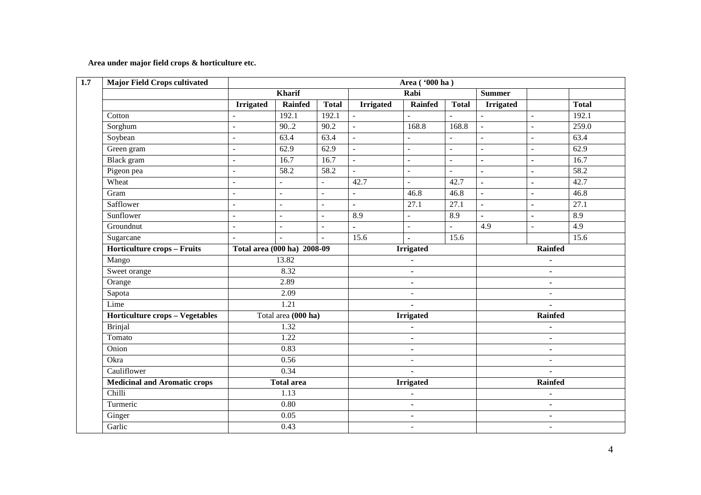**Area under major field crops & horticulture etc.** 

| <b>Major Field Crops cultivated</b>    |                          | Area ('000 ha)              |                          |                          |                          |                   |                     |                |              |
|----------------------------------------|--------------------------|-----------------------------|--------------------------|--------------------------|--------------------------|-------------------|---------------------|----------------|--------------|
|                                        |                          | Kharif                      |                          |                          | Rabi                     |                   | <b>Summer</b>       |                |              |
|                                        | <b>Irrigated</b>         | Rainfed                     | <b>Total</b>             | <b>Irrigated</b>         | <b>Rainfed</b>           | <b>Total</b>      | <b>Irrigated</b>    |                | <b>Total</b> |
| Cotton                                 | $\sim$                   | 192.1                       | 192.1                    | $\omega$                 | $\overline{a}$           | $\overline{a}$    | $\equiv$            | $\mathbf{r}$   | 192.1        |
| Sorghum                                | $\overline{\phantom{a}}$ | 90.2                        | 90.2                     | $\blacksquare$           | 168.8                    | 168.8             | $\mathbb{L}$        | $\mathbf{r}$   | 259.0        |
| Soybean                                | $\blacksquare$           | 63.4                        | 63.4                     | $\overline{\phantom{a}}$ | $\overline{a}$           |                   | $\bar{\mathcal{L}}$ | $\mathbb{L}$   | 63.4         |
| Green gram                             | $\sim$                   | 62.9                        | 62.9                     | $\omega$                 | $\overline{a}$           | $\overline{a}$    | $\overline{a}$      | $\equiv$       | 62.9         |
| <b>Black</b> gram                      | $\overline{\phantom{a}}$ | 16.7                        | 16.7                     | $\sim$                   | $\blacksquare$           | ÷.                | $\blacksquare$      | $\blacksquare$ | 16.7         |
| Pigeon pea                             | $\overline{\phantom{a}}$ | 58.2                        | 58.2                     | $\mathbf{r}$             | $\overline{\phantom{a}}$ | $\overline{a}$    | ÷,                  | $\blacksquare$ | 58.2         |
| Wheat                                  | $\sim$                   | $\sim$                      | $\equiv$                 | 42.7                     | $\mathbf{r}$             | 42.7              | $\blacksquare$      | $\blacksquare$ | 42.7         |
| Gram                                   | $\blacksquare$           | $\blacksquare$              | $\overline{a}$           | $\blacksquare$           | 46.8                     | 46.8              | $\blacksquare$      | $\blacksquare$ | 46.8         |
| Safflower                              | $\overline{\phantom{a}}$ | $\sim$                      | $\overline{\phantom{a}}$ | $\blacksquare$           | 27.1                     | $\overline{27.1}$ | $\blacksquare$      | $\blacksquare$ | 27.1         |
| Sunflower                              | $\overline{\phantom{a}}$ | $\sim$                      | $\overline{a}$           | 8.9                      | $\overline{\phantom{a}}$ | 8.9               | $\blacksquare$      | $\blacksquare$ | 8.9          |
| Groundnut                              | $\mathbb{Z}^2$           | $\mathbf{r}$                | $\overline{a}$           | $\mathbf{r}$             | $\overline{a}$           | $\overline{a}$    | 4.9                 | $\mathbb{Z}^2$ | 4.9          |
| Sugarcane                              | $\mathbf{r}$             |                             | $\overline{\phantom{a}}$ | 15.6                     | $\blacksquare$           | 15.6              |                     |                | 15.6         |
| <b>Horticulture crops - Fruits</b>     |                          | Total area (000 ha) 2008-09 |                          | <b>Irrigated</b>         |                          |                   | Rainfed             |                |              |
| Mango                                  |                          | 13.82                       |                          |                          |                          |                   |                     |                |              |
| Sweet orange                           |                          | 8.32                        |                          | $\blacksquare$           |                          |                   | $\blacksquare$      |                |              |
| Orange                                 |                          | 2.89                        |                          | $\blacksquare$           |                          |                   | $\blacksquare$      |                |              |
| Sapota                                 |                          | 2.09                        |                          |                          | $\overline{a}$           |                   | $\overline{a}$      |                |              |
| Lime                                   |                          | 1.21                        |                          |                          | $\blacksquare$           |                   |                     | $\blacksquare$ |              |
| <b>Horticulture crops - Vegetables</b> |                          | Total area (000 ha)         |                          |                          | <b>Irrigated</b>         |                   |                     | <b>Rainfed</b> |              |
| <b>Brinjal</b>                         |                          | 1.32                        |                          |                          |                          |                   |                     |                |              |
| Tomato                                 |                          | 1.22                        |                          |                          | $\blacksquare$           |                   |                     | $\blacksquare$ |              |
| Onion                                  |                          | 0.83                        |                          |                          | $\blacksquare$           |                   |                     | $\blacksquare$ |              |
| Okra                                   |                          | 0.56                        |                          |                          | $\overline{a}$           |                   |                     | $\blacksquare$ |              |
| Cauliflower                            |                          | 0.34                        |                          | $\blacksquare$           |                          |                   |                     | $\blacksquare$ |              |
| <b>Medicinal and Aromatic crops</b>    |                          | <b>Total area</b>           |                          | <b>Irrigated</b>         |                          | <b>Rainfed</b>    |                     |                |              |
| Chilli                                 |                          | 1.13                        |                          |                          |                          |                   |                     |                |              |
| Turmeric                               |                          | 0.80                        |                          |                          | $\blacksquare$           |                   |                     | $\blacksquare$ |              |
| Ginger                                 |                          | 0.05                        |                          |                          | $\blacksquare$           |                   |                     | $\blacksquare$ |              |
| Garlic                                 |                          | 0.43                        |                          | $\sim$                   |                          |                   | $\sim$              |                |              |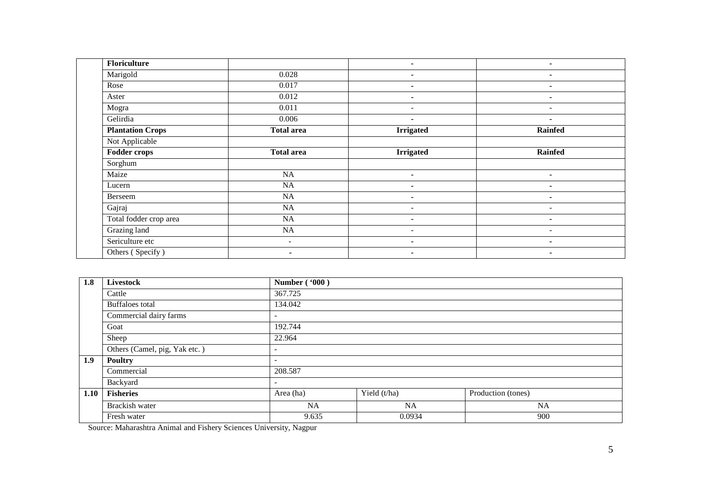| Floriculture            |                   | $\blacksquare$           | $\blacksquare$           |
|-------------------------|-------------------|--------------------------|--------------------------|
| Marigold                | 0.028             | $\blacksquare$           | ۰                        |
| Rose                    | 0.017             | $\blacksquare$           | $\blacksquare$           |
| Aster                   | 0.012             | $\blacksquare$           | ۰                        |
| Mogra                   | 0.011             | $\overline{\phantom{a}}$ | $\overline{\phantom{a}}$ |
| Gelirdia                | 0.006             | $\blacksquare$           | $\blacksquare$           |
| <b>Plantation Crops</b> | <b>Total area</b> | <b>Irrigated</b>         | <b>Rainfed</b>           |
| Not Applicable          |                   |                          |                          |
| <b>Fodder crops</b>     | <b>Total area</b> | <b>Irrigated</b>         | <b>Rainfed</b>           |
| Sorghum                 |                   |                          |                          |
| Maize                   | NA                | $\blacksquare$           | $\blacksquare$           |
| Lucern                  | <b>NA</b>         | $\blacksquare$           | $\blacksquare$           |
| Berseem                 | NA                | $\blacksquare$           | ۰                        |
| Gajraj                  | NA                | $\overline{\phantom{a}}$ | $\overline{\phantom{a}}$ |
| Total fodder crop area  | NA                | $\blacksquare$           | ۰                        |
| Grazing land            | NA                | $\sim$                   | $\sim$                   |
| Sericulture etc         | ۰.                | $\blacksquare$           | ۰                        |
| Others (Specify)        | $\sim$            | $\blacksquare$           | ۰                        |

| 1.8  | Livestock                     | <b>Number ('000)</b>     |              |                    |  |  |  |  |  |
|------|-------------------------------|--------------------------|--------------|--------------------|--|--|--|--|--|
|      | Cattle                        | 367.725                  |              |                    |  |  |  |  |  |
|      | <b>Buffaloes</b> total        | 134.042                  |              |                    |  |  |  |  |  |
|      | Commercial dairy farms        | $\overline{\phantom{a}}$ |              |                    |  |  |  |  |  |
|      | Goat                          | 192.744                  |              |                    |  |  |  |  |  |
|      | Sheep                         | 22.964                   |              |                    |  |  |  |  |  |
|      | Others (Camel, pig, Yak etc.) | $\overline{\phantom{0}}$ |              |                    |  |  |  |  |  |
| 1.9  | <b>Poultry</b>                | $\overline{\phantom{0}}$ |              |                    |  |  |  |  |  |
|      | Commercial                    | 208.587                  |              |                    |  |  |  |  |  |
|      | Backyard                      | $\overline{\phantom{a}}$ |              |                    |  |  |  |  |  |
| 1.10 | <b>Fisheries</b>              | Area (ha)                | Yield (t/ha) | Production (tones) |  |  |  |  |  |
|      | Brackish water                | NA.                      | <b>NA</b>    | <b>NA</b>          |  |  |  |  |  |
|      | Fresh water                   | 9.635                    | 0.0934       | 900                |  |  |  |  |  |

Source: Maharashtra Animal and Fishery Sciences University, Nagpur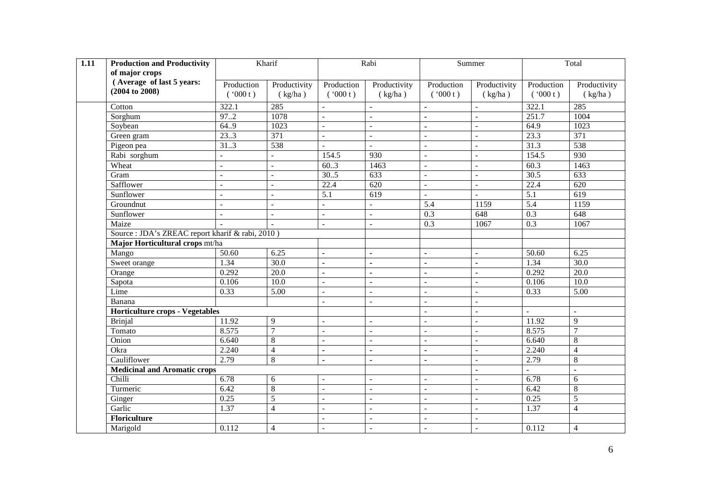| $\overline{1.11}$ | <b>Production and Productivity</b>               |                          | Kharif            |                           | Rabi                     |                          | Summer                   |                   | Total             |  |
|-------------------|--------------------------------------------------|--------------------------|-------------------|---------------------------|--------------------------|--------------------------|--------------------------|-------------------|-------------------|--|
|                   | of major crops                                   |                          |                   |                           |                          |                          |                          |                   |                   |  |
|                   | (Average of last 5 years:                        | Production               | Productivity      | Production                | Productivity             | Production               | Productivity             | Production        | Productivity      |  |
|                   | $(2004 \text{ to } 2008)$                        | (900 t)                  | (kg/ha)           | (900 t)                   | (kg/ha)                  | (900 t)                  | (kg/ha)                  | (900 t)           | (kg/ha)           |  |
|                   | Cotton                                           | 322.1                    | 285               |                           | $\blacksquare$           |                          |                          | 322.1             | 285               |  |
|                   | Sorghum                                          | 97.2                     | 1078              | $\mathbb{L}^{\mathbb{N}}$ | $\bar{\mathbf{r}}$       | Ĭ.                       | $\overline{a}$           | 251.7             | 1004              |  |
|                   | Soybean                                          | 64.9                     | 1023              |                           | $\sim$                   | Ĭ.                       | $\overline{a}$           | 64.9              | 1023              |  |
|                   | Green gram                                       | 23.3                     | 371               | $\mathbf{r}$              | $\mathbf{r}$             | $\overline{a}$           | $\overline{\phantom{a}}$ | 23.3              | 371               |  |
|                   | Pigeon pea                                       | 31.3                     | 538               | $\sim$                    | $\sim$                   | $\overline{a}$           | $\mathbf{r}$             | 31.3              | 538               |  |
|                   | Rabi sorghum                                     | $\overline{a}$           | $\overline{a}$    | 154.5                     | 930                      | $\equiv$                 | $\blacksquare$           | 154.5             | 930               |  |
|                   | Wheat                                            | $\blacksquare$           | ÷.                | 60.3                      | 1463                     | $\blacksquare$           | $\blacksquare$           | 60.3              | 1463              |  |
|                   | Gram                                             | $\overline{\phantom{a}}$ | $\overline{a}$    | 30.5                      | 633                      | $\overline{a}$           | $\blacksquare$           | 30.5              | 633               |  |
|                   | Safflower                                        | $\sim$                   | ÷                 | 22.4                      | 620                      | $\overline{\phantom{a}}$ | $\mathbf{r}$             | $\overline{22.4}$ | 620               |  |
|                   | Sunflower                                        | $\overline{a}$           | $\overline{a}$    | 5.1                       | 619                      | $\overline{\phantom{0}}$ | $\blacksquare$           | $\overline{5.1}$  | 619               |  |
|                   | Groundnut                                        | $\sim$                   | ÷.                | $\blacksquare$            | $\overline{a}$           | $\overline{5.4}$         | 1159                     | 5.4               | 1159              |  |
|                   | Sunflower                                        | $\overline{\phantom{a}}$ | ÷.                | $\blacksquare$            | $\equiv$                 | 0.3                      | 648                      | 0.3               | 648               |  |
|                   | Maize                                            | $\overline{a}$           |                   | $\mathbf{r}$              | $\overline{a}$           | 0.3                      | 1067                     | 0.3               | 1067              |  |
|                   | Source : JDA's ZREAC report kharif & rabi, 2010) |                          |                   |                           |                          |                          |                          |                   |                   |  |
|                   | Major Horticultural crops mt/ha                  |                          |                   |                           |                          |                          |                          |                   |                   |  |
|                   | Mango                                            | 50.60                    | 6.25              | $\blacksquare$            | $\blacksquare$           | $\blacksquare$           | $\blacksquare$           | 50.60             | 6.25              |  |
|                   | Sweet orange                                     | 1.34                     | 30.0              | $\blacksquare$            | $\blacksquare$           | $\blacksquare$           | $\blacksquare$           | 1.34              | $\overline{30.0}$ |  |
|                   | Orange                                           | 0.292                    | $\overline{20.0}$ | $\blacksquare$            | $\blacksquare$           | ä,                       | $\blacksquare$           | 0.292             | $\overline{20.0}$ |  |
|                   | Sapota                                           | 0.106                    | $\overline{10.0}$ |                           | $\overline{a}$           |                          |                          | 0.106             | 10.0              |  |
|                   | Lime                                             | 0.33                     | $\overline{5.00}$ | $\sim$                    | $\blacksquare$           | $\overline{a}$           | $\overline{a}$           | 0.33              | 5.00              |  |
|                   | Banana                                           |                          |                   | $\overline{a}$            | $\mathbf{r}$             | $\overline{a}$           | $\overline{a}$           |                   |                   |  |
|                   | <b>Horticulture crops - Vegetables</b>           |                          |                   |                           |                          | $\overline{a}$           | $\overline{a}$           | $\overline{a}$    | $\mathbf{r}$      |  |
|                   | <b>Brinjal</b>                                   | 11.92                    | 9                 | $\overline{a}$            | $\overline{a}$           | $\overline{a}$           | $\overline{a}$           | 11.92             | 9                 |  |
|                   | Tomato                                           | 8.575                    | $\overline{7}$    | $\sim$                    | $\overline{\phantom{a}}$ | $\overline{a}$           | $\mathbf{r}$             | 8.575             | $\overline{7}$    |  |
|                   | Onion                                            | 6.640                    | 8                 | $\overline{a}$            | $\overline{a}$           | $\overline{a}$           | $\blacksquare$           | 6.640             | $8\,$             |  |
|                   | Okra                                             | 2.240                    | 4                 | $\blacksquare$            | $\blacksquare$           | ä,                       | $\blacksquare$           | 2.240             | $\overline{4}$    |  |
|                   | Cauliflower                                      | 2.79                     | 8                 | $\blacksquare$            | $\blacksquare$           | $\blacksquare$           | $\blacksquare$           | 2.79              | $8\,$             |  |
|                   | <b>Medicinal and Aromatic crops</b>              |                          |                   |                           |                          |                          | $\blacksquare$           |                   |                   |  |
|                   | Chilli                                           | 6.78                     | 6                 | $\sim$                    | $\blacksquare$           | $\overline{a}$           | $\overline{\phantom{a}}$ | 6.78              | 6                 |  |
|                   | Turmeric                                         | 6.42                     | $\overline{8}$    |                           | $\overline{\phantom{a}}$ | $\overline{a}$           | $\sim$                   | 6.42              | $8\,$             |  |
|                   | Ginger                                           | 0.25                     | 5                 | $\sim$                    | $\overline{\phantom{a}}$ | $\overline{a}$           | $\overline{\phantom{a}}$ | 0.25              | $\overline{5}$    |  |
|                   | Garlic                                           | 1.37                     | $\overline{4}$    | $\mathbf{r}$              | $\blacksquare$           | $\overline{a}$           | $\overline{a}$           | 1.37              | $\overline{4}$    |  |
|                   | <b>Floriculture</b>                              |                          |                   | $\overline{a}$            | $\overline{\phantom{a}}$ | $\overline{a}$           | $\overline{a}$           |                   |                   |  |
|                   | Marigold                                         | 0.112                    | 4                 | $\overline{a}$            | $\mathbf{r}$             | $\overline{a}$           | $\overline{a}$           | 0.112             | $\overline{4}$    |  |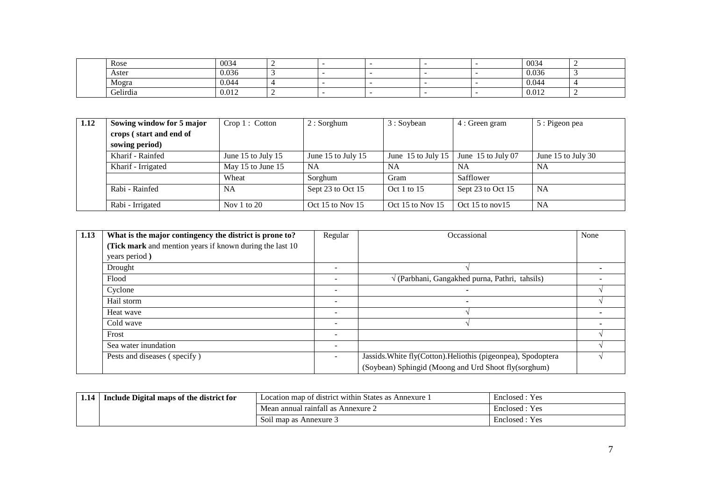|  | Rose     | 0034  | - |  |  | 0034  |  |
|--|----------|-------|---|--|--|-------|--|
|  | Aster    | 0.036 |   |  |  | 0.036 |  |
|  | Mogra    | 0.044 |   |  |  | 0.044 |  |
|  | Gelirdia | 0.012 |   |  |  | 0.012 |  |

| 1.12 | Sowing window for 5 major | Crop 1: Cottom     | $2:$ Sorghum       | 3 : Soybean                | 4 : Green gram       | 5 : Pigeon pea     |
|------|---------------------------|--------------------|--------------------|----------------------------|----------------------|--------------------|
|      | crops (start and end of   |                    |                    |                            |                      |                    |
|      | sowing period)            |                    |                    |                            |                      |                    |
|      | Kharif - Rainfed          | June 15 to July 15 | June 15 to July 15 | June 15 to July 15 $\vert$ | June $15$ to July 07 | June 15 to July 30 |
|      | Kharif - Irrigated        | May 15 to June 15  | NA                 | <b>NA</b>                  | NA                   | <b>NA</b>          |
|      |                           | Wheat              | Sorghum            | Gram                       | Safflower            |                    |
|      | Rabi - Rainfed            | NA                 | Sept 23 to Oct 15  | Oct 1 to $15$              | Sept 23 to Oct 15    | <b>NA</b>          |
|      | Rabi - Irrigated          | Nov 1 to $20$      | Oct 15 to Nov 15   | Oct 15 to Nov 15           | Oct 15 to nov $15$   | <b>NA</b>          |

| 1.13 | What is the major contingency the district is prone to?  | Regular                  | Occassional                                                   | None |
|------|----------------------------------------------------------|--------------------------|---------------------------------------------------------------|------|
|      | (Tick mark and mention years if known during the last 10 |                          |                                                               |      |
|      | years period)                                            |                          |                                                               |      |
|      | Drought                                                  | $\overline{\phantom{a}}$ |                                                               |      |
|      | Flood                                                    | $\overline{\phantom{a}}$ | $\sqrt{(Parbhani, Gangakhed punna, Pathri, tahsils)}$         |      |
|      | Cyclone                                                  | $\overline{\phantom{0}}$ |                                                               |      |
|      | Hail storm                                               |                          |                                                               |      |
|      | Heat wave                                                |                          |                                                               |      |
|      | Cold wave                                                |                          |                                                               |      |
|      | Frost                                                    | $\overline{\phantom{a}}$ |                                                               |      |
|      | Sea water inundation                                     | $\overline{\phantom{a}}$ |                                                               |      |
|      | Pests and diseases (specify)                             | $\overline{\phantom{a}}$ | Jassids. White fly(Cotton). Heliothis (pigeonpea), Spodoptera |      |
|      |                                                          |                          | (Soybean) Sphingid (Moong and Urd Shoot fly(sorghum)          |      |

| 1.14 | Include Digital maps of the district for | Location map of district within States as Annexure 1 | Enclosed:<br>: Yes |  |
|------|------------------------------------------|------------------------------------------------------|--------------------|--|
|      |                                          | Mean annual rainfall as Annexure 2                   | Enclosed : Yes     |  |
|      |                                          | Soil map as Annexure 3                               | Yes<br>Enclosed :  |  |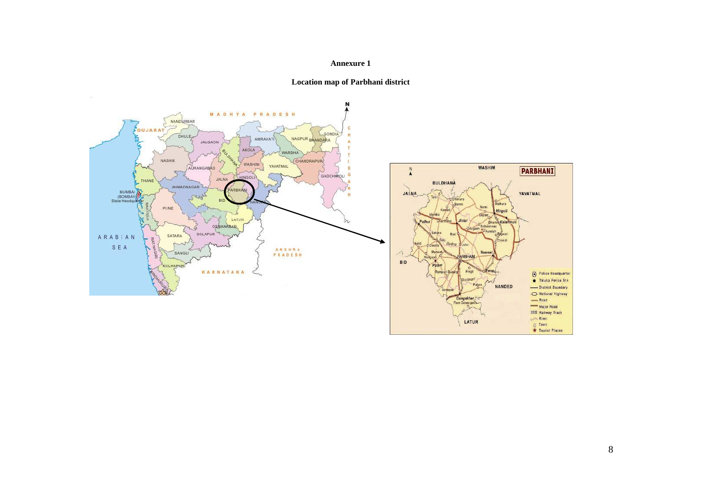#### **Annexure 1**



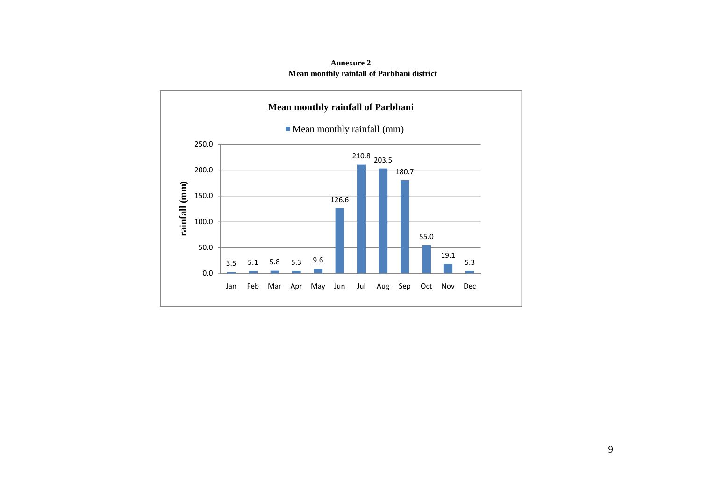

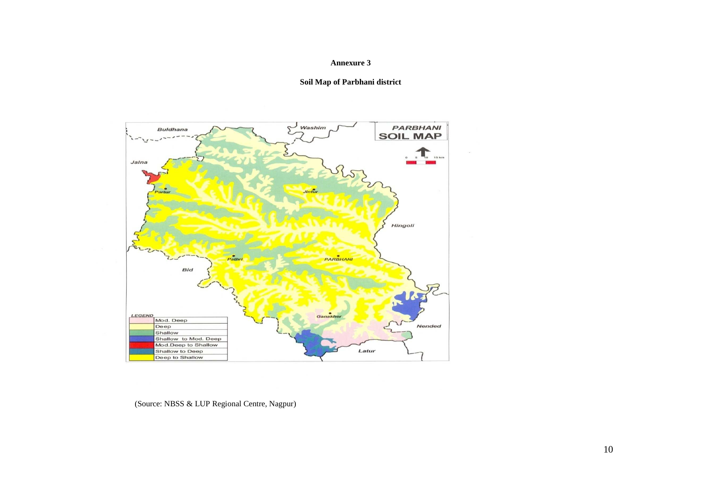#### **Annexure 3**





(Source: NBSS & LUP Regional Centre, Nagpur)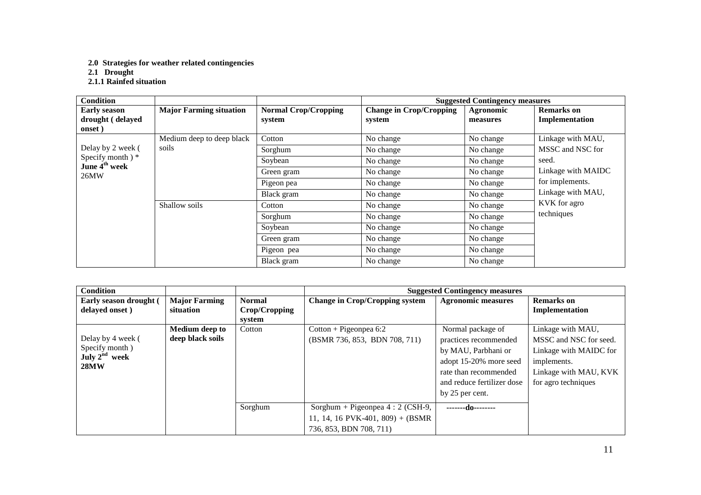**2.0 Strategies for weather related contingencies** 

**2.1 Drought 2.1.1 Rainfed situation** 

| <b>Condition</b>                              |                                |                             | <b>Suggested Contingency measures</b> |           |                                                            |  |
|-----------------------------------------------|--------------------------------|-----------------------------|---------------------------------------|-----------|------------------------------------------------------------|--|
| <b>Early season</b>                           | <b>Major Farming situation</b> | <b>Normal Crop/Cropping</b> | <b>Change in Crop/Cropping</b>        | Agronomic | <b>Remarks</b> on                                          |  |
| drought (delayed                              |                                | system                      | system                                | measures  | Implementation                                             |  |
| onset)                                        |                                |                             |                                       |           |                                                            |  |
|                                               | Medium deep to deep black      | Cotton                      | No change                             | No change | Linkage with MAU,                                          |  |
| Delay by 2 week (                             | soils                          | Sorghum                     | No change                             | No change | MSSC and NSC for                                           |  |
| Specify month) *<br>June 4 <sup>th</sup> week |                                | Soybean                     | No change                             | No change | seed.                                                      |  |
| 26MW                                          |                                | Green gram                  | No change                             | No change | Linkage with MAIDC<br>for implements.<br>Linkage with MAU, |  |
|                                               |                                | Pigeon pea                  | No change                             | No change |                                                            |  |
|                                               |                                | Black gram                  | No change                             | No change |                                                            |  |
|                                               | Shallow soils                  | Cotton                      | No change                             | No change | KVK for agro                                               |  |
|                                               |                                | Sorghum                     | No change                             | No change | techniques                                                 |  |
|                                               |                                | Soybean                     | No change                             | No change |                                                            |  |
|                                               |                                | Green gram                  | No change                             | No change |                                                            |  |
|                                               |                                | Pigeon pea                  | No change                             | No change |                                                            |  |
|                                               |                                | Black gram                  | No change                             | No change |                                                            |  |

| <b>Condition</b>                                               |                                           |                                          | <b>Suggested Contingency measures</b>                                                            |                                                                                                                                                                       |                                                                                                                                      |  |  |
|----------------------------------------------------------------|-------------------------------------------|------------------------------------------|--------------------------------------------------------------------------------------------------|-----------------------------------------------------------------------------------------------------------------------------------------------------------------------|--------------------------------------------------------------------------------------------------------------------------------------|--|--|
| Early season drought (<br>delayed onset)                       | <b>Major Farming</b><br>situation         | <b>Normal</b><br>Crop/Cropping<br>system | <b>Change in Crop/Cropping system</b>                                                            | <b>Agronomic measures</b>                                                                                                                                             | Remarks on<br>Implementation                                                                                                         |  |  |
| Delay by 4 week (<br>Specify month)<br>July $2nd$ week<br>28MW | <b>Medium deep to</b><br>deep black soils | Cotton                                   | $Cottom + Pigeonpea 6:2$<br>(BSMR 736, 853, BDN 708, 711)                                        | Normal package of<br>practices recommended<br>by MAU, Parbhani or<br>adopt 15-20% more seed<br>rate than recommended<br>and reduce fertilizer dose<br>by 25 per cent. | Linkage with MAU,<br>MSSC and NSC for seed.<br>Linkage with MAIDC for<br>implements.<br>Linkage with MAU, KVK<br>for agro techniques |  |  |
|                                                                |                                           | Sorghum                                  | Sorghum + Pigeonpea $4:2$ (CSH-9,<br>11, 14, 16 PVK-401, 809) + (BSMR<br>736, 853, BDN 708, 711) | -------do--------                                                                                                                                                     |                                                                                                                                      |  |  |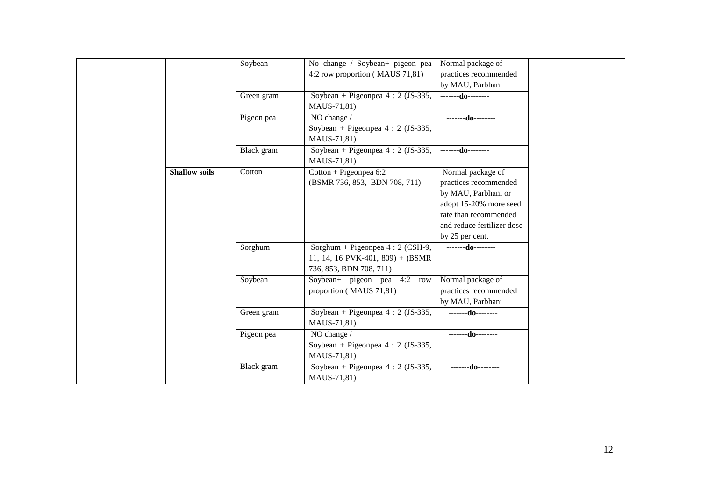|                      | Soybean    | No change / Soybean+ pigeon pea    | Normal package of          |
|----------------------|------------|------------------------------------|----------------------------|
|                      |            | 4:2 row proportion (MAUS 71,81)    | practices recommended      |
|                      |            |                                    | by MAU, Parbhani           |
|                      | Green gram | Soybean + Pigeonpea $4:2$ (JS-335, | -------do--------          |
|                      |            | MAUS-71,81)                        |                            |
|                      | Pigeon pea | NO change /                        | $---d0$                    |
|                      |            | Soybean + Pigeonpea $4:2$ (JS-335, |                            |
|                      |            | MAUS-71,81)                        |                            |
|                      | Black gram | Soybean + Pigeonpea $4:2$ (JS-335, | --------do--------         |
|                      |            | MAUS-71,81)                        |                            |
| <b>Shallow soils</b> | Cotton     | $Cottom + Pigeonpea 6:2$           | Normal package of          |
|                      |            | (BSMR 736, 853, BDN 708, 711)      | practices recommended      |
|                      |            |                                    | by MAU, Parbhani or        |
|                      |            |                                    | adopt 15-20% more seed     |
|                      |            |                                    | rate than recommended      |
|                      |            |                                    | and reduce fertilizer dose |
|                      |            |                                    | by 25 per cent.            |
|                      | Sorghum    | Sorghum + Pigeonpea $4:2$ (CSH-9,  | $---d0$                    |
|                      |            | 11, 14, 16 PVK-401, 809) + (BSMR   |                            |
|                      |            | 736, 853, BDN 708, 711)            |                            |
|                      | Soybean    | Soybean+ pigeon pea $4:2$<br>row   | Normal package of          |
|                      |            | proportion (MAUS 71,81)            | practices recommended      |
|                      |            |                                    | by MAU, Parbhani           |
|                      | Green gram | Soybean + Pigeonpea $4:2$ (JS-335, | --------do--------         |
|                      |            | MAUS-71,81)                        |                            |
|                      | Pigeon pea | NO change /                        | --------do--------         |
|                      |            | Soybean + Pigeonpea $4:2$ (JS-335, |                            |
|                      |            | MAUS-71,81)                        |                            |
|                      | Black gram | Soybean + Pigeonpea $4:2$ (JS-335, | -------do--------          |
|                      |            | MAUS-71,81)                        |                            |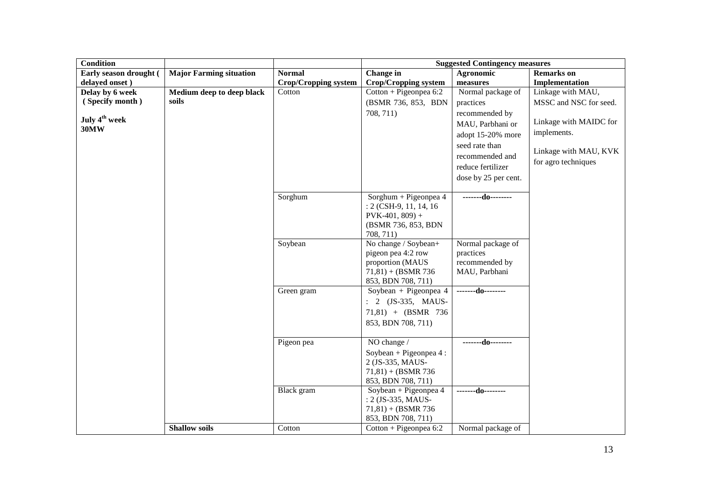| <b>Condition</b>          |                                |                             | <b>Suggested Contingency measures</b> |                      |                        |  |  |
|---------------------------|--------------------------------|-----------------------------|---------------------------------------|----------------------|------------------------|--|--|
| Early season drought (    | <b>Major Farming situation</b> | <b>Normal</b>               | Change in                             | Agronomic            | <b>Remarks</b> on      |  |  |
| delayed onset)            |                                | <b>Crop/Cropping system</b> | <b>Crop/Cropping system</b>           | measures             | Implementation         |  |  |
| Delay by 6 week           | Medium deep to deep black      | Cotton                      | $Cottom + Pigeonpea 6:2$              | Normal package of    | Linkage with MAU,      |  |  |
| (Specify month)           | soils                          |                             | (BSMR 736, 853, BDN                   | practices            | MSSC and NSC for seed. |  |  |
|                           |                                |                             | 708, 711)                             | recommended by       |                        |  |  |
| July 4 <sup>th</sup> week |                                |                             |                                       | MAU, Parbhani or     | Linkage with MAIDC for |  |  |
| <b>30MW</b>               |                                |                             |                                       | adopt 15-20% more    | implements.            |  |  |
|                           |                                |                             |                                       | seed rate than       |                        |  |  |
|                           |                                |                             |                                       | recommended and      | Linkage with MAU, KVK  |  |  |
|                           |                                |                             |                                       |                      | for agro techniques    |  |  |
|                           |                                |                             |                                       | reduce fertilizer    |                        |  |  |
|                           |                                |                             |                                       | dose by 25 per cent. |                        |  |  |
|                           |                                | Sorghum                     | Sorghum + Pigeonpea 4                 | -------do--------    |                        |  |  |
|                           |                                |                             | $: 2$ (CSH-9, 11, 14, 16)             |                      |                        |  |  |
|                           |                                |                             | $PVK-401, 809$ +                      |                      |                        |  |  |
|                           |                                |                             | (BSMR 736, 853, BDN                   |                      |                        |  |  |
|                           |                                |                             | 708, 711)                             |                      |                        |  |  |
|                           |                                | Soybean                     | No change / Soybean+                  | Normal package of    |                        |  |  |
|                           |                                |                             | pigeon pea 4:2 row                    | practices            |                        |  |  |
|                           |                                |                             | proportion (MAUS                      | recommended by       |                        |  |  |
|                           |                                |                             | $71,81$ + (BSMR 736)                  | MAU, Parbhani        |                        |  |  |
|                           |                                |                             | 853, BDN 708, 711)                    |                      |                        |  |  |
|                           |                                | Green gram                  | Soybean + Pigeonpea $4$               | -------do--------    |                        |  |  |
|                           |                                |                             | $: 2$ (JS-335, MAUS-                  |                      |                        |  |  |
|                           |                                |                             | $71,81$ + (BSMR 736                   |                      |                        |  |  |
|                           |                                |                             | 853, BDN 708, 711)                    |                      |                        |  |  |
|                           |                                |                             |                                       |                      |                        |  |  |
|                           |                                | Pigeon pea                  | NO change /                           | -------do--------    |                        |  |  |
|                           |                                |                             | Soybean + Pigeonpea $4$ :             |                      |                        |  |  |
|                           |                                |                             | 2 (JS-335, MAUS-                      |                      |                        |  |  |
|                           |                                |                             | $71,81$ + (BSMR 736)                  |                      |                        |  |  |
|                           |                                |                             | 853, BDN 708, 711)                    |                      |                        |  |  |
|                           |                                | Black gram                  | Soybean + Pigeonpea 4                 | $---d0$              |                        |  |  |
|                           |                                |                             | : 2 (JS-335, MAUS-                    |                      |                        |  |  |
|                           |                                |                             | $71,81$ + (BSMR 736)                  |                      |                        |  |  |
|                           |                                |                             | 853, BDN 708, 711)                    |                      |                        |  |  |
|                           | <b>Shallow soils</b>           | Cotton                      | $Cottom + Pigeonpea 6:2$              | Normal package of    |                        |  |  |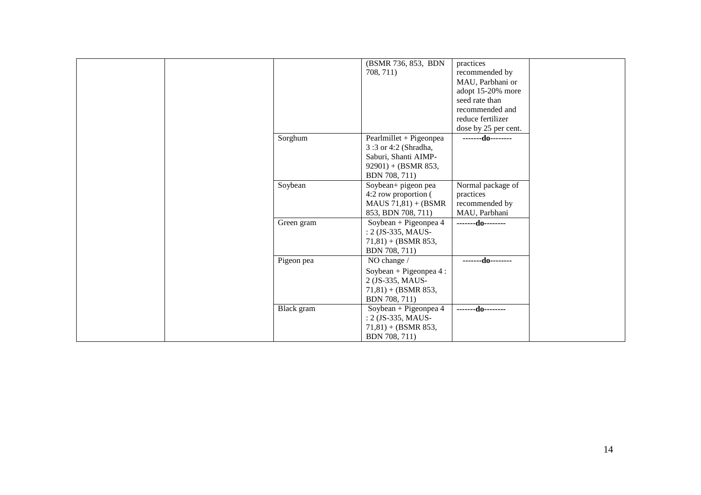|            | (BSMR 736, 853, BDN       | practices            |
|------------|---------------------------|----------------------|
|            | 708, 711)                 | recommended by       |
|            |                           | MAU, Parbhani or     |
|            |                           | adopt 15-20% more    |
|            |                           | seed rate than       |
|            |                           | recommended and      |
|            |                           | reduce fertilizer    |
|            |                           | dose by 25 per cent. |
| Sorghum    | $Pearlmillet + Pigeonpea$ | $---d0---$           |
|            | 3:3 or 4:2 (Shradha,      |                      |
|            | Saburi, Shanti AIMP-      |                      |
|            | $92901$ ) + (BSMR 853,    |                      |
|            | BDN 708, 711)             |                      |
| Soybean    | Soybean+ pigeon pea       | Normal package of    |
|            | 4:2 row proportion (      | practices            |
|            | $MAUS 71,81) + (BSMR)$    | recommended by       |
|            | 853, BDN 708, 711)        | MAU, Parbhani        |
| Green gram | Soybean + Pigeonpea 4     | $---d0$              |
|            | : 2 (JS-335, MAUS-        |                      |
|            | $71,81$ + (BSMR 853,      |                      |
|            | BDN 708, 711)             |                      |
| Pigeon pea | NO change /               | -------do--------    |
|            | Soybean + Pigeonpea 4 :   |                      |
|            | 2 (JS-335, MAUS-          |                      |
|            | $71,81$ + (BSMR 853,      |                      |
|            | BDN 708, 711)             |                      |
| Black gram | Soybean + Pigeonpea 4     | $---d0$              |
|            | : 2 (JS-335, MAUS-        |                      |
|            | $71,81$ + (BSMR 853,      |                      |
|            | BDN 708, 711)             |                      |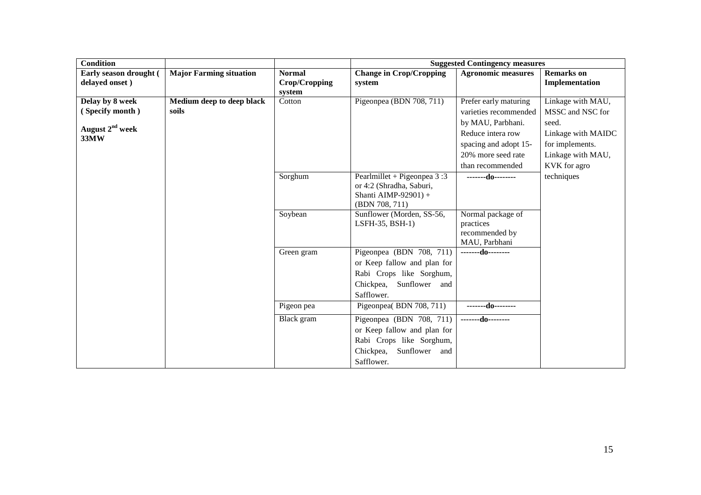| <b>Condition</b>            |                                |               | <b>Suggested Contingency measures</b>        |                                |                    |  |  |
|-----------------------------|--------------------------------|---------------|----------------------------------------------|--------------------------------|--------------------|--|--|
| Early season drought (      | <b>Major Farming situation</b> | <b>Normal</b> | <b>Change in Crop/Cropping</b>               | <b>Agronomic measures</b>      | <b>Remarks</b> on  |  |  |
| delayed onset)              |                                | Crop/Cropping | system                                       |                                | Implementation     |  |  |
|                             |                                | system        |                                              |                                |                    |  |  |
| Delay by 8 week             | Medium deep to deep black      | Cotton        | Pigeonpea (BDN 708, 711)                     | Prefer early maturing          | Linkage with MAU,  |  |  |
| (Specify month)             | soils                          |               |                                              | varieties recommended          | MSSC and NSC for   |  |  |
| August 2 <sup>nd</sup> week |                                |               |                                              | by MAU, Parbhani.              | seed.              |  |  |
| 33MW                        |                                |               |                                              | Reduce intera row              | Linkage with MAIDC |  |  |
|                             |                                |               |                                              | spacing and adopt 15-          | for implements.    |  |  |
|                             |                                |               |                                              | 20% more seed rate             | Linkage with MAU,  |  |  |
|                             |                                |               |                                              | than recommended               | KVK for agro       |  |  |
|                             |                                | Sorghum       | Pearlmillet + Pigeonpea $3:3$                | $---d0$                        | techniques         |  |  |
|                             |                                |               | or 4:2 (Shradha, Saburi,                     |                                |                    |  |  |
|                             |                                |               | Shanti AIMP-92901) +                         |                                |                    |  |  |
|                             |                                |               | (BDN 708, 711)                               |                                |                    |  |  |
|                             |                                | Soybean       | Sunflower (Morden, SS-56,<br>LSFH-35, BSH-1) | Normal package of<br>practices |                    |  |  |
|                             |                                |               |                                              | recommended by                 |                    |  |  |
|                             |                                |               |                                              | MAU, Parbhani                  |                    |  |  |
|                             |                                | Green gram    | Pigeonpea (BDN 708, $\overline{711}$ )       | -------do--------              |                    |  |  |
|                             |                                |               | or Keep fallow and plan for                  |                                |                    |  |  |
|                             |                                |               | Rabi Crops like Sorghum,                     |                                |                    |  |  |
|                             |                                |               | Chickpea,<br>Sunflower and                   |                                |                    |  |  |
|                             |                                |               | Safflower.                                   |                                |                    |  |  |
|                             |                                | Pigeon pea    | Pigeonpea(BDN 708, 711)                      | -------do--------              |                    |  |  |
|                             |                                | Black gram    | Pigeonpea (BDN 708, 711)                     | -------do--------              |                    |  |  |
|                             |                                |               | or Keep fallow and plan for                  |                                |                    |  |  |
|                             |                                |               | Rabi Crops like Sorghum,                     |                                |                    |  |  |
|                             |                                |               | Chickpea,<br>Sunflower and                   |                                |                    |  |  |
|                             |                                |               | Safflower.                                   |                                |                    |  |  |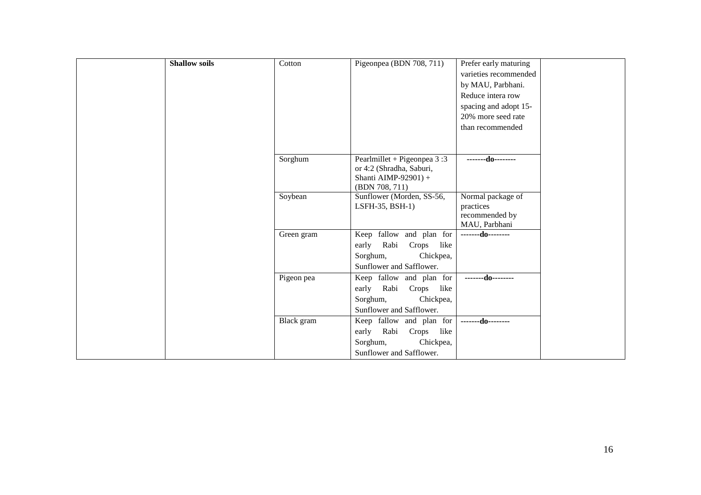| <b>Shallow soils</b> | Cotton     | Pigeonpea (BDN 708, 711)                                  | Prefer early maturing |
|----------------------|------------|-----------------------------------------------------------|-----------------------|
|                      |            |                                                           | varieties recommended |
|                      |            |                                                           | by MAU, Parbhani.     |
|                      |            |                                                           | Reduce intera row     |
|                      |            |                                                           | spacing and adopt 15- |
|                      |            |                                                           | 20% more seed rate    |
|                      |            |                                                           | than recommended      |
|                      |            |                                                           |                       |
|                      |            |                                                           |                       |
|                      | Sorghum    | Pearlmillet + Pigeonpea $3:3$<br>or 4:2 (Shradha, Saburi, | -------do--------     |
|                      |            | Shanti AIMP-92901) +                                      |                       |
|                      |            | (BDN 708, 711)                                            |                       |
|                      | Soybean    | Sunflower (Morden, SS-56,                                 | Normal package of     |
|                      |            | LSFH-35, BSH-1)                                           | practices             |
|                      |            |                                                           | recommended by        |
|                      |            |                                                           | MAU, Parbhani         |
|                      | Green gram | Keep fallow and plan for                                  | $---d0---$            |
|                      |            | Rabi<br>early<br>Crops like                               |                       |
|                      |            | Sorghum,<br>Chickpea,                                     |                       |
|                      |            | Sunflower and Safflower.                                  |                       |
|                      | Pigeon pea | Keep fallow and plan for                                  | -------do--------     |
|                      |            | early<br>Rabi Crops like                                  |                       |
|                      |            | Sorghum,<br>Chickpea,                                     |                       |
|                      |            | Sunflower and Safflower.                                  |                       |
|                      | Black gram | Keep fallow and plan for                                  | --------do--------    |
|                      |            | early<br>Rabi<br>Crops like                               |                       |
|                      |            | Chickpea,<br>Sorghum,                                     |                       |
|                      |            | Sunflower and Safflower.                                  |                       |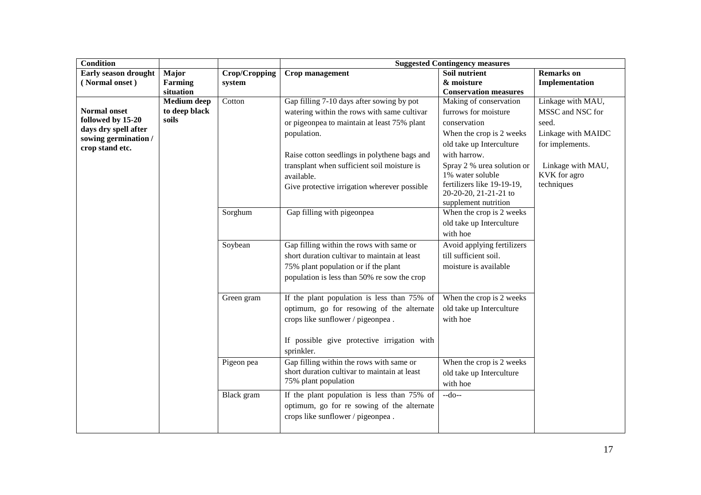| <b>Condition</b>                        |                    |               | <b>Suggested Contingency measures</b>                     |                              |                    |  |  |
|-----------------------------------------|--------------------|---------------|-----------------------------------------------------------|------------------------------|--------------------|--|--|
| <b>Early season drought</b>             | Major              | Crop/Cropping | Crop management                                           | Soil nutrient                | <b>Remarks</b> on  |  |  |
| (Normal onset)                          | Farming            | system        |                                                           | & moisture                   | Implementation     |  |  |
|                                         | situation          |               |                                                           | <b>Conservation measures</b> |                    |  |  |
|                                         | <b>Medium</b> deep | Cotton        | Gap filling 7-10 days after sowing by pot                 | Making of conservation       | Linkage with MAU,  |  |  |
| <b>Normal onset</b>                     | to deep black      |               | watering within the rows with same cultivar               | furrows for moisture         | MSSC and NSC for   |  |  |
| followed by 15-20                       | soils              |               | or pigeonpea to maintain at least 75% plant               | conservation                 | seed.              |  |  |
| days dry spell after                    |                    |               | population.                                               | When the crop is 2 weeks     | Linkage with MAIDC |  |  |
| sowing germination /<br>crop stand etc. |                    |               |                                                           | old take up Interculture     | for implements.    |  |  |
|                                         |                    |               | Raise cotton seedlings in polythene bags and              | with harrow.                 |                    |  |  |
|                                         |                    |               | transplant when sufficient soil moisture is               | Spray 2 % urea solution or   | Linkage with MAU,  |  |  |
|                                         |                    |               | available.                                                | 1% water soluble             | KVK for agro       |  |  |
|                                         |                    |               | Give protective irrigation wherever possible              | fertilizers like 19-19-19,   | techniques         |  |  |
|                                         |                    |               |                                                           | 20-20-20, 21-21-21 to        |                    |  |  |
|                                         |                    |               |                                                           | supplement nutrition         |                    |  |  |
|                                         |                    | Sorghum       | Gap filling with pigeonpea                                | When the crop is 2 weeks     |                    |  |  |
|                                         |                    |               |                                                           | old take up Interculture     |                    |  |  |
|                                         |                    |               |                                                           | with hoe                     |                    |  |  |
|                                         |                    | Soybean       | Gap filling within the rows with same or                  | Avoid applying fertilizers   |                    |  |  |
|                                         |                    |               | short duration cultivar to maintain at least              | till sufficient soil.        |                    |  |  |
|                                         |                    |               | 75% plant population or if the plant                      | moisture is available        |                    |  |  |
|                                         |                    |               | population is less than 50% re sow the crop               |                              |                    |  |  |
|                                         |                    | Green gram    | If the plant population is less than 75% of               | When the crop is 2 weeks     |                    |  |  |
|                                         |                    |               | optimum, go for resowing of the alternate                 | old take up Interculture     |                    |  |  |
|                                         |                    |               | crops like sunflower / pigeonpea.                         | with hoe                     |                    |  |  |
|                                         |                    |               | If possible give protective irrigation with<br>sprinkler. |                              |                    |  |  |
|                                         |                    | Pigeon pea    | Gap filling within the rows with same or                  | When the crop is 2 weeks     |                    |  |  |
|                                         |                    |               | short duration cultivar to maintain at least              | old take up Interculture     |                    |  |  |
|                                         |                    |               | 75% plant population                                      | with hoe                     |                    |  |  |
|                                         |                    | Black gram    | If the plant population is less than 75% of               | $-do-$                       |                    |  |  |
|                                         |                    |               | optimum, go for re sowing of the alternate                |                              |                    |  |  |
|                                         |                    |               | crops like sunflower / pigeonpea.                         |                              |                    |  |  |
|                                         |                    |               |                                                           |                              |                    |  |  |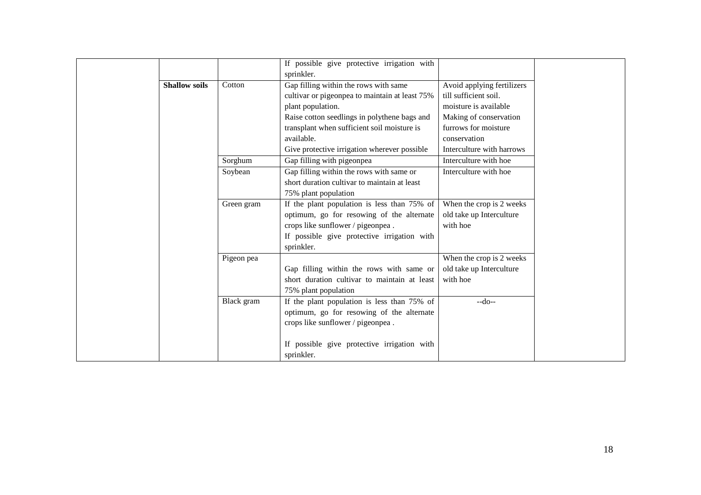|                      |            | If possible give protective irrigation with    |                            |
|----------------------|------------|------------------------------------------------|----------------------------|
|                      |            | sprinkler.                                     |                            |
| <b>Shallow soils</b> | Cotton     | Gap filling within the rows with same          | Avoid applying fertilizers |
|                      |            | cultivar or pigeonpea to maintain at least 75% | till sufficient soil.      |
|                      |            | plant population.                              | moisture is available      |
|                      |            | Raise cotton seedlings in polythene bags and   | Making of conservation     |
|                      |            | transplant when sufficient soil moisture is    | furrows for moisture       |
|                      |            | available.                                     | conservation               |
|                      |            | Give protective irrigation wherever possible   | Interculture with harrows  |
|                      | Sorghum    | Gap filling with pigeonpea                     | Interculture with hoe      |
|                      | Soybean    | Gap filling within the rows with same or       | Interculture with hoe      |
|                      |            | short duration cultivar to maintain at least   |                            |
|                      |            | 75% plant population                           |                            |
|                      | Green gram | If the plant population is less than 75% of    | When the crop is 2 weeks   |
|                      |            | optimum, go for resowing of the alternate      | old take up Interculture   |
|                      |            | crops like sunflower / pigeonpea.              | with hoe                   |
|                      |            | If possible give protective irrigation with    |                            |
|                      |            | sprinkler.                                     |                            |
|                      | Pigeon pea |                                                | When the crop is 2 weeks   |
|                      |            | Gap filling within the rows with same or       | old take up Interculture   |
|                      |            | short duration cultivar to maintain at least   | with hoe                   |
|                      |            | 75% plant population                           |                            |
|                      | Black gram | If the plant population is less than 75% of    | $-do-$                     |
|                      |            | optimum, go for resowing of the alternate      |                            |
|                      |            | crops like sunflower / pigeonpea.              |                            |
|                      |            |                                                |                            |
|                      |            | If possible give protective irrigation with    |                            |
|                      |            | sprinkler.                                     |                            |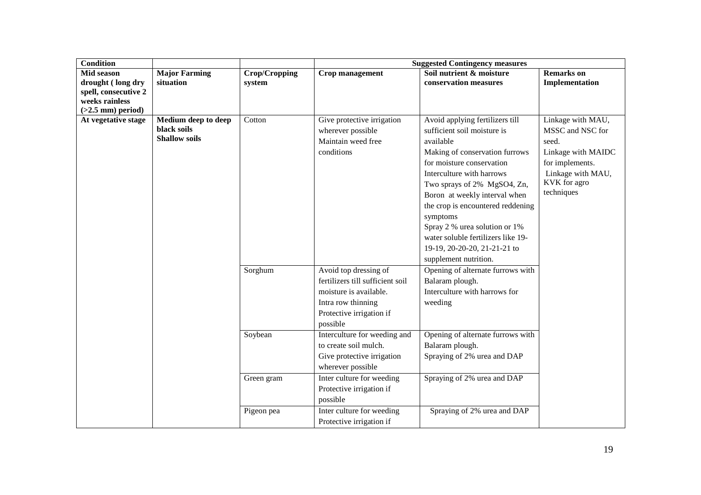| <b>Condition</b>                                                                 |                                                            |                          | <b>Suggested Contingency measures</b>                                                                                                             |                                                                                                                                                                                                                                                                                                                                                                                                                          |                                                                                                                                            |  |
|----------------------------------------------------------------------------------|------------------------------------------------------------|--------------------------|---------------------------------------------------------------------------------------------------------------------------------------------------|--------------------------------------------------------------------------------------------------------------------------------------------------------------------------------------------------------------------------------------------------------------------------------------------------------------------------------------------------------------------------------------------------------------------------|--------------------------------------------------------------------------------------------------------------------------------------------|--|
| <b>Mid season</b><br>drought (long dry<br>spell, consecutive 2<br>weeks rainless | <b>Major Farming</b><br>situation                          | Crop/Cropping<br>system  | Crop management                                                                                                                                   | Soil nutrient & moisture<br>conservation measures                                                                                                                                                                                                                                                                                                                                                                        | <b>Remarks</b> on<br>Implementation                                                                                                        |  |
| $(>2.5$ mm) period)<br>At vegetative stage                                       | Medium deep to deep<br>black soils<br><b>Shallow soils</b> | Cotton                   | Give protective irrigation<br>wherever possible<br>Maintain weed free<br>conditions                                                               | Avoid applying fertilizers till<br>sufficient soil moisture is<br>available<br>Making of conservation furrows<br>for moisture conservation<br>Interculture with harrows<br>Two sprays of 2% MgSO4, Zn,<br>Boron at weekly interval when<br>the crop is encountered reddening<br>symptoms<br>Spray 2 % urea solution or 1%<br>water soluble fertilizers like 19-<br>19-19, 20-20-20, 21-21-21 to<br>supplement nutrition. | Linkage with MAU,<br>MSSC and NSC for<br>seed.<br>Linkage with MAIDC<br>for implements.<br>Linkage with MAU,<br>KVK for agro<br>techniques |  |
|                                                                                  |                                                            | Sorghum                  | Avoid top dressing of<br>fertilizers till sufficient soil<br>moisture is available.<br>Intra row thinning<br>Protective irrigation if<br>possible | Opening of alternate furrows with<br>Balaram plough.<br>Interculture with harrows for<br>weeding                                                                                                                                                                                                                                                                                                                         |                                                                                                                                            |  |
|                                                                                  |                                                            | Soybean                  | Interculture for weeding and<br>to create soil mulch.<br>Give protective irrigation<br>wherever possible                                          | Opening of alternate furrows with<br>Balaram plough.<br>Spraying of 2% urea and DAP                                                                                                                                                                                                                                                                                                                                      |                                                                                                                                            |  |
|                                                                                  |                                                            | Green gram<br>Pigeon pea | Inter culture for weeding<br>Protective irrigation if<br>possible<br>Inter culture for weeding                                                    | Spraying of 2% urea and DAP<br>Spraying of 2% urea and DAP                                                                                                                                                                                                                                                                                                                                                               |                                                                                                                                            |  |
|                                                                                  |                                                            |                          | Protective irrigation if                                                                                                                          |                                                                                                                                                                                                                                                                                                                                                                                                                          |                                                                                                                                            |  |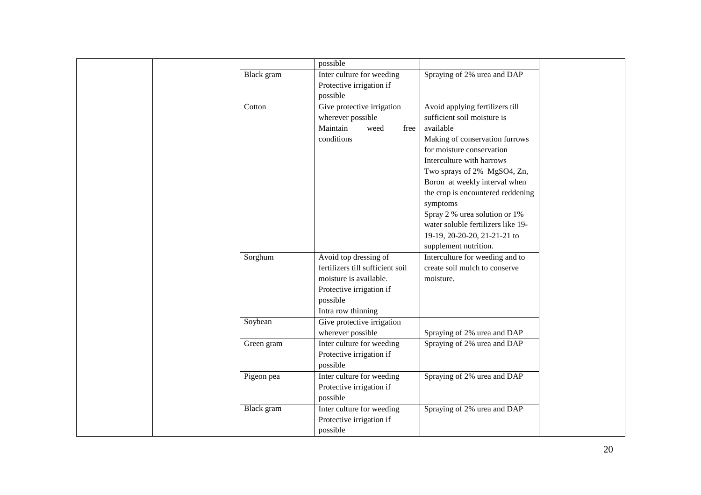| possible<br>Black gram<br>Inter culture for weeding<br>Spraying of 2% urea and DAP<br>Protective irrigation if<br>possible<br>Give protective irrigation<br>Avoid applying fertilizers till<br>Cotton<br>wherever possible<br>sufficient soil moisture is<br>Maintain<br>available<br>weed<br>free<br>Making of conservation furrows<br>conditions<br>for moisture conservation<br>Interculture with harrows<br>Two sprays of 2% MgSO4, Zn,<br>Boron at weekly interval when<br>the crop is encountered reddening<br>symptoms<br>Spray 2 % urea solution or 1%<br>water soluble fertilizers like 19-<br>19-19, 20-20-20, 21-21-21 to<br>supplement nutrition.<br>Avoid top dressing of<br>Interculture for weeding and to<br>Sorghum<br>fertilizers till sufficient soil<br>create soil mulch to conserve<br>moisture is available.<br>moisture.<br>Protective irrigation if<br>possible<br>Intra row thinning<br>Soybean<br>Give protective irrigation<br>wherever possible<br>Spraying of 2% urea and DAP<br>Inter culture for weeding<br>Spraying of 2% urea and DAP<br>Green gram<br>Protective irrigation if<br>possible<br>Inter culture for weeding<br>Spraying of 2% urea and DAP<br>Pigeon pea<br>Protective irrigation if<br>possible<br>Inter culture for weeding<br>Spraying of 2% urea and DAP<br>Black gram<br>Protective irrigation if |  |  |  |
|-------------------------------------------------------------------------------------------------------------------------------------------------------------------------------------------------------------------------------------------------------------------------------------------------------------------------------------------------------------------------------------------------------------------------------------------------------------------------------------------------------------------------------------------------------------------------------------------------------------------------------------------------------------------------------------------------------------------------------------------------------------------------------------------------------------------------------------------------------------------------------------------------------------------------------------------------------------------------------------------------------------------------------------------------------------------------------------------------------------------------------------------------------------------------------------------------------------------------------------------------------------------------------------------------------------------------------------------------------|--|--|--|
|                                                                                                                                                                                                                                                                                                                                                                                                                                                                                                                                                                                                                                                                                                                                                                                                                                                                                                                                                                                                                                                                                                                                                                                                                                                                                                                                                       |  |  |  |
|                                                                                                                                                                                                                                                                                                                                                                                                                                                                                                                                                                                                                                                                                                                                                                                                                                                                                                                                                                                                                                                                                                                                                                                                                                                                                                                                                       |  |  |  |
|                                                                                                                                                                                                                                                                                                                                                                                                                                                                                                                                                                                                                                                                                                                                                                                                                                                                                                                                                                                                                                                                                                                                                                                                                                                                                                                                                       |  |  |  |
|                                                                                                                                                                                                                                                                                                                                                                                                                                                                                                                                                                                                                                                                                                                                                                                                                                                                                                                                                                                                                                                                                                                                                                                                                                                                                                                                                       |  |  |  |
|                                                                                                                                                                                                                                                                                                                                                                                                                                                                                                                                                                                                                                                                                                                                                                                                                                                                                                                                                                                                                                                                                                                                                                                                                                                                                                                                                       |  |  |  |
|                                                                                                                                                                                                                                                                                                                                                                                                                                                                                                                                                                                                                                                                                                                                                                                                                                                                                                                                                                                                                                                                                                                                                                                                                                                                                                                                                       |  |  |  |
|                                                                                                                                                                                                                                                                                                                                                                                                                                                                                                                                                                                                                                                                                                                                                                                                                                                                                                                                                                                                                                                                                                                                                                                                                                                                                                                                                       |  |  |  |
|                                                                                                                                                                                                                                                                                                                                                                                                                                                                                                                                                                                                                                                                                                                                                                                                                                                                                                                                                                                                                                                                                                                                                                                                                                                                                                                                                       |  |  |  |
|                                                                                                                                                                                                                                                                                                                                                                                                                                                                                                                                                                                                                                                                                                                                                                                                                                                                                                                                                                                                                                                                                                                                                                                                                                                                                                                                                       |  |  |  |
|                                                                                                                                                                                                                                                                                                                                                                                                                                                                                                                                                                                                                                                                                                                                                                                                                                                                                                                                                                                                                                                                                                                                                                                                                                                                                                                                                       |  |  |  |
|                                                                                                                                                                                                                                                                                                                                                                                                                                                                                                                                                                                                                                                                                                                                                                                                                                                                                                                                                                                                                                                                                                                                                                                                                                                                                                                                                       |  |  |  |
|                                                                                                                                                                                                                                                                                                                                                                                                                                                                                                                                                                                                                                                                                                                                                                                                                                                                                                                                                                                                                                                                                                                                                                                                                                                                                                                                                       |  |  |  |
|                                                                                                                                                                                                                                                                                                                                                                                                                                                                                                                                                                                                                                                                                                                                                                                                                                                                                                                                                                                                                                                                                                                                                                                                                                                                                                                                                       |  |  |  |
|                                                                                                                                                                                                                                                                                                                                                                                                                                                                                                                                                                                                                                                                                                                                                                                                                                                                                                                                                                                                                                                                                                                                                                                                                                                                                                                                                       |  |  |  |
|                                                                                                                                                                                                                                                                                                                                                                                                                                                                                                                                                                                                                                                                                                                                                                                                                                                                                                                                                                                                                                                                                                                                                                                                                                                                                                                                                       |  |  |  |
|                                                                                                                                                                                                                                                                                                                                                                                                                                                                                                                                                                                                                                                                                                                                                                                                                                                                                                                                                                                                                                                                                                                                                                                                                                                                                                                                                       |  |  |  |
|                                                                                                                                                                                                                                                                                                                                                                                                                                                                                                                                                                                                                                                                                                                                                                                                                                                                                                                                                                                                                                                                                                                                                                                                                                                                                                                                                       |  |  |  |
|                                                                                                                                                                                                                                                                                                                                                                                                                                                                                                                                                                                                                                                                                                                                                                                                                                                                                                                                                                                                                                                                                                                                                                                                                                                                                                                                                       |  |  |  |
|                                                                                                                                                                                                                                                                                                                                                                                                                                                                                                                                                                                                                                                                                                                                                                                                                                                                                                                                                                                                                                                                                                                                                                                                                                                                                                                                                       |  |  |  |
|                                                                                                                                                                                                                                                                                                                                                                                                                                                                                                                                                                                                                                                                                                                                                                                                                                                                                                                                                                                                                                                                                                                                                                                                                                                                                                                                                       |  |  |  |
|                                                                                                                                                                                                                                                                                                                                                                                                                                                                                                                                                                                                                                                                                                                                                                                                                                                                                                                                                                                                                                                                                                                                                                                                                                                                                                                                                       |  |  |  |
|                                                                                                                                                                                                                                                                                                                                                                                                                                                                                                                                                                                                                                                                                                                                                                                                                                                                                                                                                                                                                                                                                                                                                                                                                                                                                                                                                       |  |  |  |
|                                                                                                                                                                                                                                                                                                                                                                                                                                                                                                                                                                                                                                                                                                                                                                                                                                                                                                                                                                                                                                                                                                                                                                                                                                                                                                                                                       |  |  |  |
|                                                                                                                                                                                                                                                                                                                                                                                                                                                                                                                                                                                                                                                                                                                                                                                                                                                                                                                                                                                                                                                                                                                                                                                                                                                                                                                                                       |  |  |  |
|                                                                                                                                                                                                                                                                                                                                                                                                                                                                                                                                                                                                                                                                                                                                                                                                                                                                                                                                                                                                                                                                                                                                                                                                                                                                                                                                                       |  |  |  |
|                                                                                                                                                                                                                                                                                                                                                                                                                                                                                                                                                                                                                                                                                                                                                                                                                                                                                                                                                                                                                                                                                                                                                                                                                                                                                                                                                       |  |  |  |
|                                                                                                                                                                                                                                                                                                                                                                                                                                                                                                                                                                                                                                                                                                                                                                                                                                                                                                                                                                                                                                                                                                                                                                                                                                                                                                                                                       |  |  |  |
|                                                                                                                                                                                                                                                                                                                                                                                                                                                                                                                                                                                                                                                                                                                                                                                                                                                                                                                                                                                                                                                                                                                                                                                                                                                                                                                                                       |  |  |  |
|                                                                                                                                                                                                                                                                                                                                                                                                                                                                                                                                                                                                                                                                                                                                                                                                                                                                                                                                                                                                                                                                                                                                                                                                                                                                                                                                                       |  |  |  |
|                                                                                                                                                                                                                                                                                                                                                                                                                                                                                                                                                                                                                                                                                                                                                                                                                                                                                                                                                                                                                                                                                                                                                                                                                                                                                                                                                       |  |  |  |
|                                                                                                                                                                                                                                                                                                                                                                                                                                                                                                                                                                                                                                                                                                                                                                                                                                                                                                                                                                                                                                                                                                                                                                                                                                                                                                                                                       |  |  |  |
|                                                                                                                                                                                                                                                                                                                                                                                                                                                                                                                                                                                                                                                                                                                                                                                                                                                                                                                                                                                                                                                                                                                                                                                                                                                                                                                                                       |  |  |  |
|                                                                                                                                                                                                                                                                                                                                                                                                                                                                                                                                                                                                                                                                                                                                                                                                                                                                                                                                                                                                                                                                                                                                                                                                                                                                                                                                                       |  |  |  |
|                                                                                                                                                                                                                                                                                                                                                                                                                                                                                                                                                                                                                                                                                                                                                                                                                                                                                                                                                                                                                                                                                                                                                                                                                                                                                                                                                       |  |  |  |
| possible                                                                                                                                                                                                                                                                                                                                                                                                                                                                                                                                                                                                                                                                                                                                                                                                                                                                                                                                                                                                                                                                                                                                                                                                                                                                                                                                              |  |  |  |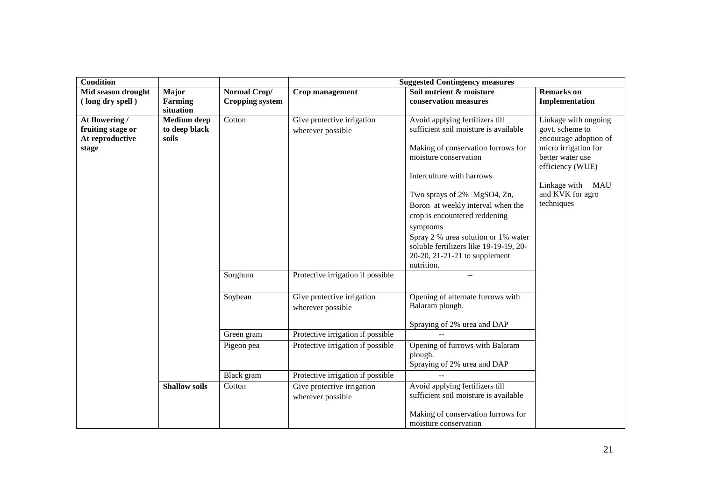| <b>Condition</b>   |                      |                        | <b>Suggested Contingency measures</b> |                                                             |                                          |  |
|--------------------|----------------------|------------------------|---------------------------------------|-------------------------------------------------------------|------------------------------------------|--|
| Mid season drought | Major                | Normal Crop/           | Crop management                       | Soil nutrient & moisture                                    | <b>Remarks</b> on                        |  |
| (long dry spell)   | Farming              | <b>Cropping system</b> |                                       | conservation measures                                       | Implementation                           |  |
|                    | situation            |                        |                                       |                                                             |                                          |  |
| At flowering /     | Medium deep          | Cotton                 | Give protective irrigation            | Avoid applying fertilizers till                             | Linkage with ongoing                     |  |
| fruiting stage or  | to deep black        |                        | wherever possible                     | sufficient soil moisture is available                       | govt. scheme to                          |  |
| At reproductive    | soils                |                        |                                       |                                                             | encourage adoption of                    |  |
| stage              |                      |                        |                                       | Making of conservation furrows for<br>moisture conservation | micro irrigation for<br>better water use |  |
|                    |                      |                        |                                       |                                                             | efficiency (WUE)                         |  |
|                    |                      |                        |                                       | Interculture with harrows                                   |                                          |  |
|                    |                      |                        |                                       |                                                             | Linkage with MAU                         |  |
|                    |                      |                        |                                       | Two sprays of 2% MgSO4, Zn,                                 | and KVK for agro                         |  |
|                    |                      |                        |                                       | Boron at weekly interval when the                           | techniques                               |  |
|                    |                      |                        |                                       | crop is encountered reddening                               |                                          |  |
|                    |                      |                        |                                       | symptoms                                                    |                                          |  |
|                    |                      |                        |                                       | Spray 2 % urea solution or 1% water                         |                                          |  |
|                    |                      |                        |                                       | soluble fertilizers like 19-19-19, 20-                      |                                          |  |
|                    |                      |                        |                                       | 20-20, 21-21-21 to supplement                               |                                          |  |
|                    |                      |                        |                                       | nutrition.                                                  |                                          |  |
|                    |                      | Sorghum                | Protective irrigation if possible     | $-$                                                         |                                          |  |
|                    |                      |                        |                                       |                                                             |                                          |  |
|                    |                      | Soybean                | Give protective irrigation            | Opening of alternate furrows with                           |                                          |  |
|                    |                      |                        | wherever possible                     | Balaram plough.                                             |                                          |  |
|                    |                      |                        |                                       |                                                             |                                          |  |
|                    |                      |                        |                                       | Spraying of 2% urea and DAP                                 |                                          |  |
|                    |                      | Green gram             | Protective irrigation if possible     |                                                             |                                          |  |
|                    |                      | Pigeon pea             | Protective irrigation if possible     | Opening of furrows with Balaram                             |                                          |  |
|                    |                      |                        |                                       | plough.                                                     |                                          |  |
|                    |                      |                        |                                       | Spraying of 2% urea and DAP                                 |                                          |  |
|                    |                      | <b>Black</b> gram      | Protective irrigation if possible     |                                                             |                                          |  |
|                    | <b>Shallow soils</b> | Cotton                 | Give protective irrigation            | Avoid applying fertilizers till                             |                                          |  |
|                    |                      |                        | wherever possible                     | sufficient soil moisture is available                       |                                          |  |
|                    |                      |                        |                                       |                                                             |                                          |  |
|                    |                      |                        |                                       | Making of conservation furrows for                          |                                          |  |
|                    |                      |                        |                                       | moisture conservation                                       |                                          |  |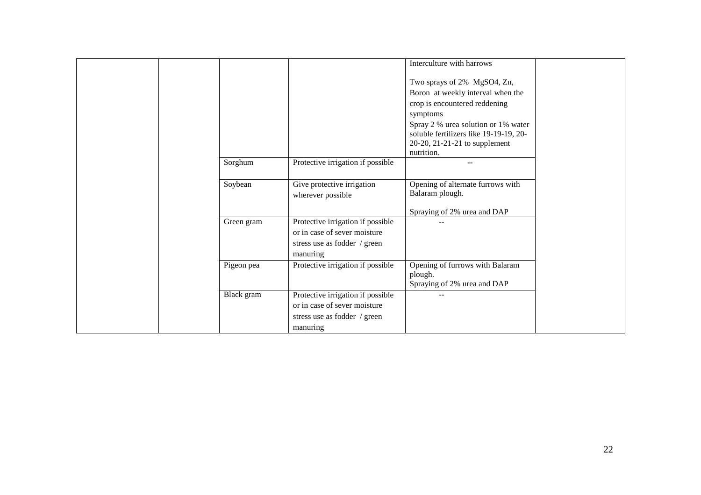|            |                                   | Interculture with harrows              |
|------------|-----------------------------------|----------------------------------------|
|            |                                   |                                        |
|            |                                   | Two sprays of 2% MgSO4, Zn,            |
|            |                                   | Boron at weekly interval when the      |
|            |                                   | crop is encountered reddening          |
|            |                                   | symptoms                               |
|            |                                   | Spray 2 % urea solution or 1% water    |
|            |                                   | soluble fertilizers like 19-19-19, 20- |
|            |                                   | 20-20, 21-21-21 to supplement          |
|            |                                   | nutrition.                             |
| Sorghum    | Protective irrigation if possible |                                        |
|            |                                   |                                        |
| Soybean    | Give protective irrigation        | Opening of alternate furrows with      |
|            | wherever possible                 | Balaram plough.                        |
|            |                                   |                                        |
|            |                                   | Spraying of 2% urea and DAP            |
| Green gram | Protective irrigation if possible |                                        |
|            | or in case of sever moisture      |                                        |
|            | stress use as fodder / green      |                                        |
|            | manuring                          |                                        |
| Pigeon pea | Protective irrigation if possible | Opening of furrows with Balaram        |
|            |                                   | plough.                                |
|            |                                   | Spraying of 2% urea and DAP            |
| Black gram | Protective irrigation if possible |                                        |
|            | or in case of sever moisture      |                                        |
|            | stress use as fodder / green      |                                        |
|            | manuring                          |                                        |
|            |                                   |                                        |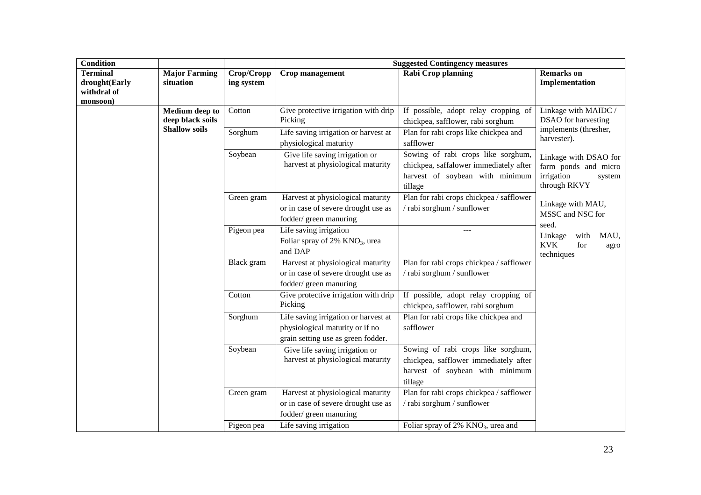| <b>Condition</b>                                            |                                           |                                                                | <b>Suggested Contingency measures</b>                                                                         |                                                                                                                            |                                                                                       |  |
|-------------------------------------------------------------|-------------------------------------------|----------------------------------------------------------------|---------------------------------------------------------------------------------------------------------------|----------------------------------------------------------------------------------------------------------------------------|---------------------------------------------------------------------------------------|--|
| <b>Terminal</b><br>drought(Early<br>withdral of<br>monsoon) | <b>Major Farming</b><br>situation         | Crop/Cropp<br>ing system                                       | Crop management                                                                                               | Rabi Crop planning                                                                                                         | <b>Remarks</b> on<br>Implementation                                                   |  |
|                                                             | <b>Medium</b> deep to<br>deep black soils | Cotton                                                         | Give protective irrigation with drip<br>Picking                                                               | If possible, adopt relay cropping of<br>chickpea, safflower, rabi sorghum                                                  | Linkage with MAIDC /<br><b>DSAO</b> for harvesting                                    |  |
| <b>Shallow soils</b>                                        | Sorghum                                   | Life saving irrigation or harvest at<br>physiological maturity | Plan for rabi crops like chickpea and<br>safflower                                                            | implements (thresher,<br>harvester).                                                                                       |                                                                                       |  |
|                                                             |                                           | Soybean                                                        | Give life saving irrigation or<br>harvest at physiological maturity                                           | Sowing of rabi crops like sorghum,<br>chickpea, saffalower immediately after<br>harvest of soybean with minimum<br>tillage | Linkage with DSAO for<br>farm ponds and micro<br>irrigation<br>system<br>through RKVY |  |
|                                                             |                                           | Green gram                                                     | Harvest at physiological maturity<br>or in case of severe drought use as<br>fodder/green manuring             | Plan for rabi crops chickpea / safflower<br>/ rabi sorghum / sunflower                                                     | Linkage with MAU,<br>MSSC and NSC for                                                 |  |
|                                                             |                                           | Pigeon pea                                                     | Life saving irrigation<br>Foliar spray of 2% KNO <sub>3</sub> , urea<br>and DAP                               | $---$                                                                                                                      | seed.<br>Linkage<br>with<br>MAU,<br><b>KVK</b><br>for<br>agro<br>techniques           |  |
|                                                             |                                           | Black gram                                                     | Harvest at physiological maturity<br>or in case of severe drought use as<br>fodder/ green manuring            | Plan for rabi crops chickpea / safflower<br>/ rabi sorghum / sunflower                                                     |                                                                                       |  |
|                                                             |                                           | Cotton                                                         | Give protective irrigation with drip<br>Picking                                                               | If possible, adopt relay cropping of<br>chickpea, safflower, rabi sorghum                                                  |                                                                                       |  |
|                                                             |                                           | Sorghum                                                        | Life saving irrigation or harvest at<br>physiological maturity or if no<br>grain setting use as green fodder. | Plan for rabi crops like chickpea and<br>safflower                                                                         |                                                                                       |  |
|                                                             |                                           | Soybean                                                        | Give life saving irrigation or<br>harvest at physiological maturity                                           | Sowing of rabi crops like sorghum,<br>chickpea, safflower immediately after<br>harvest of soybean with minimum<br>tillage  |                                                                                       |  |
|                                                             |                                           | Green gram                                                     | Harvest at physiological maturity<br>or in case of severe drought use as<br>fodder/ green manuring            | Plan for rabi crops chickpea / safflower<br>/ rabi sorghum / sunflower                                                     |                                                                                       |  |
|                                                             |                                           | Pigeon pea                                                     | Life saving irrigation                                                                                        | Foliar spray of $2\%$ KNO <sub>3</sub> , urea and                                                                          |                                                                                       |  |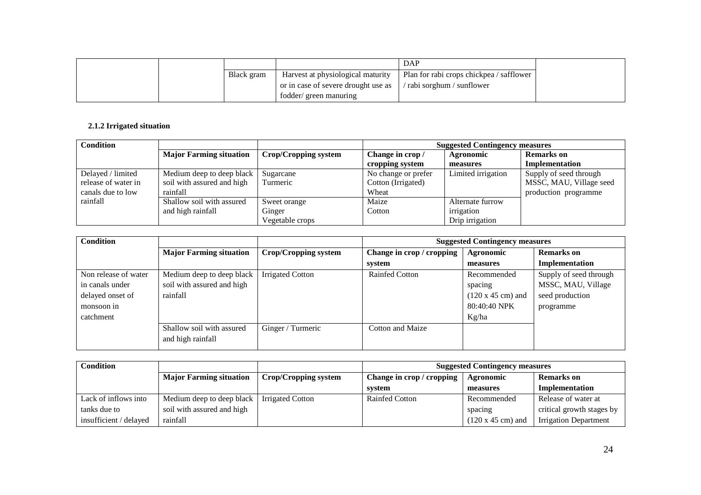|            |                                     | DAP                                      |
|------------|-------------------------------------|------------------------------------------|
| Black gram | Harvest at physiological maturity   | Plan for rabi crops chickpea / safflower |
|            | or in case of severe drought use as | / rabi sorghum / sunflower               |
|            | fodder/green manuring               |                                          |

# **2.1.2 Irrigated situation**

| <b>Condition</b>    |                                |                      | <b>Suggested Contingency measures</b> |                    |                         |
|---------------------|--------------------------------|----------------------|---------------------------------------|--------------------|-------------------------|
|                     | <b>Major Farming situation</b> | Crop/Cropping system | Change in crop /                      | Agronomic          | <b>Remarks</b> on       |
|                     |                                |                      | cropping system                       | measures           | Implementation          |
| Delayed / limited   | Medium deep to deep black      | Sugarcane            | No change or prefer                   | Limited irrigation | Supply of seed through  |
| release of water in | soil with assured and high     | Turmeric             | Cotton (Irrigated)                    |                    | MSSC, MAU, Village seed |
| canals due to low   | rainfall                       |                      | Wheat                                 |                    | production programme    |
| rainfall            | Shallow soil with assured      | Sweet orange         | Maize                                 | Alternate furrow   |                         |
|                     | and high rainfall              | Ginger               | Cotton                                | irrigation         |                         |
|                     |                                | Vegetable crops      |                                       | Drip irrigation    |                         |

| <b>Condition</b>     |                                |                             | <b>Suggested Contingency measures</b> |                                  |                        |
|----------------------|--------------------------------|-----------------------------|---------------------------------------|----------------------------------|------------------------|
|                      | <b>Major Farming situation</b> | <b>Crop/Cropping system</b> | Change in crop / cropping             | Agronomic                        | <b>Remarks</b> on      |
|                      |                                |                             | system                                | measures                         | <b>Implementation</b>  |
| Non release of water | Medium deep to deep black      | <b>Irrigated Cotton</b>     | <b>Rainfed Cotton</b>                 | Recommended                      | Supply of seed through |
| in canals under      | soil with assured and high     |                             |                                       | spacing                          | MSSC, MAU, Village     |
| delayed onset of     | rainfall                       |                             |                                       | $(120 \times 45 \text{ cm})$ and | seed production        |
| monsoon in           |                                |                             |                                       | 80:40:40 NPK                     | programme              |
| catchment            |                                |                             |                                       | Kg/ha                            |                        |
|                      | Shallow soil with assured      | Ginger / Turmeric           | Cotton and Maize                      |                                  |                        |
|                      | and high rainfall              |                             |                                       |                                  |                        |

| <b>Condition</b>       |                                |                         | <b>Suggested Contingency measures</b>         |                                  |                              |
|------------------------|--------------------------------|-------------------------|-----------------------------------------------|----------------------------------|------------------------------|
|                        | <b>Major Farming situation</b> | Crop/Cropping system    | Change in crop / cropping<br><b>Agronomic</b> |                                  | <b>Remarks</b> on            |
|                        |                                |                         | svstem                                        | measures                         | Implementation               |
| Lack of inflows into   | Medium deep to deep black      | <b>Irrigated Cotton</b> | <b>Rainfed Cotton</b>                         | Recommended                      | Release of water at          |
| tanks due to           | soil with assured and high     |                         |                                               | spacing                          | critical growth stages by    |
| insufficient / delayed | rainfall                       |                         |                                               | $(120 \times 45 \text{ cm})$ and | <b>Irrigation Department</b> |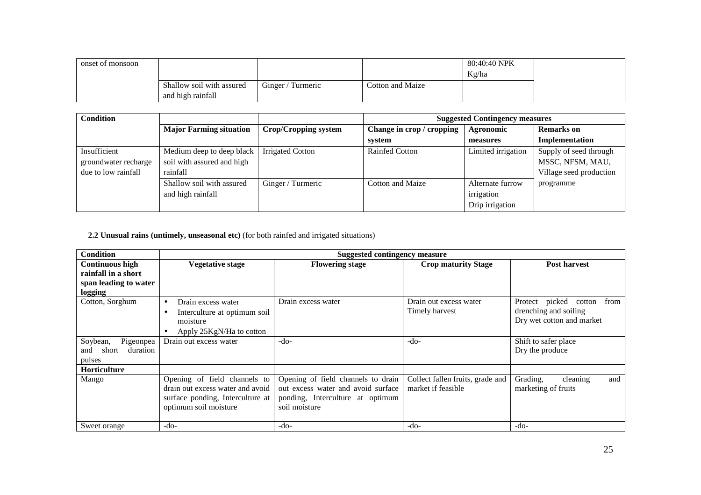| onset of monsoon |                                                |                   |                  | 80:40:40 NPK<br>Kg/ha |
|------------------|------------------------------------------------|-------------------|------------------|-----------------------|
|                  | Shallow soil with assured<br>and high rainfall | Ginger / Turmeric | Cotton and Maize |                       |

| <b>Condition</b>     |                                |                         | <b>Suggested Contingency measures</b> |                    |                         |
|----------------------|--------------------------------|-------------------------|---------------------------------------|--------------------|-------------------------|
|                      | <b>Major Farming situation</b> | Crop/Cropping system    | Change in crop / cropping             | Agronomic          | <b>Remarks</b> on       |
|                      |                                |                         | system                                | measures           | Implementation          |
| Insufficient         | Medium deep to deep black      | <b>Irrigated Cotton</b> | <b>Rainfed Cotton</b>                 | Limited irrigation | Supply of seed through  |
| groundwater recharge | soil with assured and high     |                         |                                       |                    | MSSC, NFSM, MAU,        |
| due to low rainfall  | rainfall                       |                         |                                       |                    | Village seed production |
|                      | Shallow soil with assured      | Ginger / Turmeric       | Cotton and Maize                      | Alternate furrow   | programme               |
|                      | and high rainfall              |                         |                                       | irrigation         |                         |
|                      |                                |                         |                                       | Drip irrigation    |                         |

## **2.2 Unusual rains (untimely, unseasonal etc)** (for both rainfed and irrigated situations)

| <b>Condition</b>         |                                   | <b>Suggested contingency measure</b> |                                  |                               |
|--------------------------|-----------------------------------|--------------------------------------|----------------------------------|-------------------------------|
| <b>Continuous high</b>   | <b>Vegetative stage</b>           | <b>Flowering stage</b>               | <b>Crop maturity Stage</b>       | <b>Post harvest</b>           |
| rainfall in a short      |                                   |                                      |                                  |                               |
| span leading to water    |                                   |                                      |                                  |                               |
| logging                  |                                   |                                      |                                  |                               |
| Cotton, Sorghum          | Drain excess water<br>$\bullet$   | Drain excess water                   | Drain out excess water           | Protect picked cotton<br>from |
|                          | Interculture at optimum soil<br>٠ |                                      | Timely harvest                   | drenching and soiling         |
|                          | moisture                          |                                      |                                  | Dry wet cotton and market     |
|                          | Apply 25KgN/Ha to cotton          |                                      |                                  |                               |
| Soybean,<br>Pigeonpea    | Drain out excess water            | $-do-$                               | $-do-$                           | Shift to safer place          |
| duration<br>short<br>and |                                   |                                      |                                  | Dry the produce               |
| pulses                   |                                   |                                      |                                  |                               |
| Horticulture             |                                   |                                      |                                  |                               |
| Mango                    | Opening of field channels to      | Opening of field channels to drain   | Collect fallen fruits, grade and | Grading,<br>cleaning<br>and   |
|                          | drain out excess water and avoid  | out excess water and avoid surface   | market if feasible               | marketing of fruits           |
|                          | surface ponding, Interculture at  | ponding, Interculture at optimum     |                                  |                               |
|                          | optimum soil moisture             | soil moisture                        |                                  |                               |
|                          |                                   |                                      |                                  |                               |
| Sweet orange             | $-do-$                            | -do-                                 | $-do-$                           | $-do-$                        |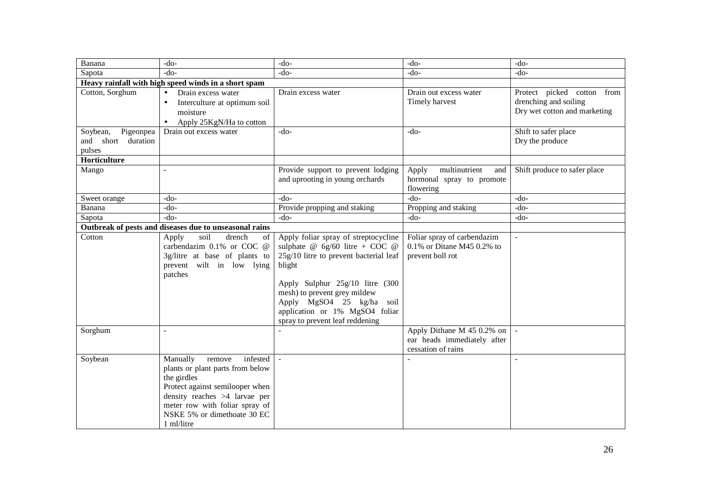| Banana                                                   | $-do-$                                                                                                                                                                                                                               | $-do-$                                                                                                                                                                                                                                                                                            | $-do-$                                                                          | $-do-$                                                                              |
|----------------------------------------------------------|--------------------------------------------------------------------------------------------------------------------------------------------------------------------------------------------------------------------------------------|---------------------------------------------------------------------------------------------------------------------------------------------------------------------------------------------------------------------------------------------------------------------------------------------------|---------------------------------------------------------------------------------|-------------------------------------------------------------------------------------|
| Sapota                                                   | $-do-$                                                                                                                                                                                                                               | $-do-$                                                                                                                                                                                                                                                                                            | $-do-$                                                                          | $-do-$                                                                              |
|                                                          | Heavy rainfall with high speed winds in a short spam                                                                                                                                                                                 |                                                                                                                                                                                                                                                                                                   |                                                                                 |                                                                                     |
| Cotton, Sorghum                                          | Drain excess water<br>$\bullet$<br>Interculture at optimum soil<br>moisture<br>Apply 25KgN/Ha to cotton<br>$\bullet$                                                                                                                 | Drain excess water                                                                                                                                                                                                                                                                                | Drain out excess water<br>Timely harvest                                        | Protect picked cotton from<br>drenching and soiling<br>Dry wet cotton and marketing |
| Pigeonpea<br>Soybean,<br>and short<br>duration<br>pulses | Drain out excess water                                                                                                                                                                                                               | $-do-$                                                                                                                                                                                                                                                                                            | $-do-$                                                                          | Shift to safer place<br>Dry the produce                                             |
| Horticulture                                             |                                                                                                                                                                                                                                      |                                                                                                                                                                                                                                                                                                   |                                                                                 |                                                                                     |
| Mango                                                    | $\overline{a}$                                                                                                                                                                                                                       | Provide support to prevent lodging<br>and uprooting in young orchards                                                                                                                                                                                                                             | multinutrient<br>Apply<br>and<br>hormonal spray to promote<br>flowering         | Shift produce to safer place                                                        |
| Sweet orange                                             | $-do-$                                                                                                                                                                                                                               | $-do-$                                                                                                                                                                                                                                                                                            | $-do-$                                                                          | $-do-$                                                                              |
| Banana                                                   | $-do-$                                                                                                                                                                                                                               | Provide propping and staking                                                                                                                                                                                                                                                                      | Propping and staking                                                            | $-do-$                                                                              |
| Sapota                                                   | $-do-$                                                                                                                                                                                                                               | $-do-$                                                                                                                                                                                                                                                                                            | $-do-$                                                                          | $-do-$                                                                              |
|                                                          | Outbreak of pests and diseases due to unseasonal rains                                                                                                                                                                               |                                                                                                                                                                                                                                                                                                   |                                                                                 |                                                                                     |
| Cotton                                                   | soil<br>drench<br>Apply<br>of<br>carbendazim 0.1% or COC @<br>3g/litre at base of plants to<br>prevent wilt in low lying<br>patches                                                                                                  | Apply foliar spray of streptocycline<br>sulphate @ $6g/60$ litre + COC @<br>25g/10 litre to prevent bacterial leaf<br>blight<br>Apply Sulphur 25g/10 litre (300<br>mesh) to prevent grey mildew<br>Apply MgSO4 25 kg/ha soil<br>application or 1% MgSO4 foliar<br>spray to prevent leaf reddening | Foliar spray of carbendazim<br>0.1% or Ditane M45 0.2% to<br>prevent boll rot   | $\omega$                                                                            |
| Sorghum                                                  | $\overline{\phantom{a}}$                                                                                                                                                                                                             |                                                                                                                                                                                                                                                                                                   | Apply Dithane M 45 0.2% on<br>ear heads immediately after<br>cessation of rains |                                                                                     |
| Soybean                                                  | Manually<br>infested<br>remove<br>plants or plant parts from below<br>the girdles<br>Protect against semilooper when<br>density reaches >4 larvae per<br>meter row with foliar spray of<br>NSKE 5% or dimethoate 30 EC<br>1 ml/litre |                                                                                                                                                                                                                                                                                                   |                                                                                 |                                                                                     |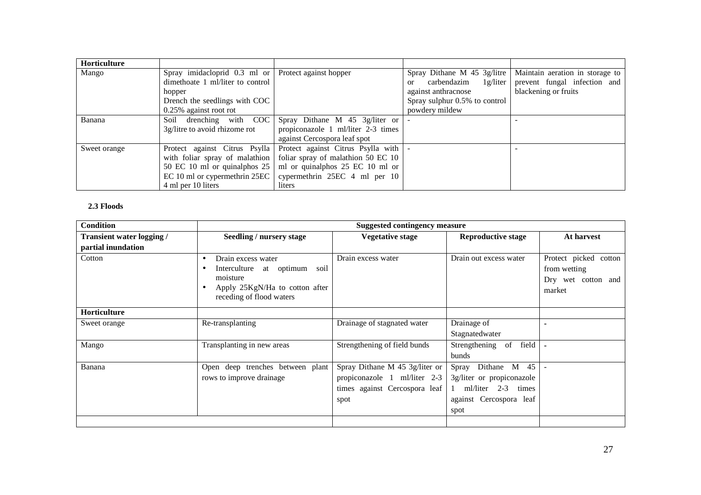| <b>Horticulture</b> |                                                       |                                                 |                                     |                                 |
|---------------------|-------------------------------------------------------|-------------------------------------------------|-------------------------------------|---------------------------------|
| Mango               | Spray imidacloprid $0.3$ ml or Protect against hopper |                                                 | Spray Dithane M 45 3g/litre         | Maintain aeration in storage to |
|                     | dimethoate 1 ml/liter to control                      |                                                 | $carbendazim$ 1g/liter<br><b>or</b> | prevent fungal infection and    |
|                     | hopper                                                |                                                 | against anthracnose                 | blackening or fruits            |
|                     | Drench the seedlings with COC                         |                                                 | Spray sulphur 0.5% to control       |                                 |
|                     | 0.25% against root rot                                |                                                 | powdery mildew                      |                                 |
| Banana              | Soil drenching with COC                               | Spray Dithane M $45 \frac{3g}{\text{liter}}$ or |                                     |                                 |
|                     | 3g/litre to avoid rhizome rot                         | propiconazole 1 ml/liter 2-3 times              |                                     |                                 |
|                     |                                                       | against Cercospora leaf spot                    |                                     |                                 |
| Sweet orange        | Protect against Citrus Psylla                         | Protect against Citrus Psylla with              |                                     |                                 |
|                     | with foliar spray of malathion                        | foliar spray of malathion 50 EC 10              |                                     |                                 |
|                     | 50 EC 10 ml or quinalphos 25                          | ml or quinalphos 25 EC 10 ml or                 |                                     |                                 |
|                     | EC 10 ml or cypermethrin 25EC                         | cypermethrin 25EC 4 ml per 10                   |                                     |                                 |
|                     | 4 ml per 10 liters                                    | liters                                          |                                     |                                 |

## **2.3 Floods**

| <b>Condition</b>                 |                                                                                                                                                                           | <b>Suggested contingency measure</b> |                                         |                                                                       |
|----------------------------------|---------------------------------------------------------------------------------------------------------------------------------------------------------------------------|--------------------------------------|-----------------------------------------|-----------------------------------------------------------------------|
| <b>Transient water logging /</b> | Seedling / nursery stage                                                                                                                                                  | <b>Vegetative stage</b>              | <b>Reproductive stage</b>               | At harvest                                                            |
| partial inundation               |                                                                                                                                                                           |                                      |                                         |                                                                       |
| Cotton                           | Drain excess water<br>$\bullet$<br>Interculture<br>at optimum<br>soil<br>$\bullet$<br>moisture<br>Apply 25KgN/Ha to cotton after<br>$\bullet$<br>receding of flood waters | Drain excess water                   | Drain out excess water                  | Protect picked cotton<br>from wetting<br>Dry wet cotton and<br>market |
| Horticulture                     |                                                                                                                                                                           |                                      |                                         |                                                                       |
| Sweet orange                     | Re-transplanting                                                                                                                                                          | Drainage of stagnated water          | Drainage of                             |                                                                       |
|                                  |                                                                                                                                                                           |                                      | Stagnatedwater                          |                                                                       |
| Mango                            | Transplanting in new areas                                                                                                                                                | Strengthening of field bunds         | Strengthening of<br>field               |                                                                       |
|                                  |                                                                                                                                                                           |                                      | bunds                                   |                                                                       |
| Banana                           | Open deep trenches between plant                                                                                                                                          | Spray Dithane M 45 3g/liter or       | Dithane M<br>45<br>Spray                |                                                                       |
|                                  | rows to improve drainage                                                                                                                                                  | propiconazole 1 ml/liter 2-3         | 3g/liter or propiconazole               |                                                                       |
|                                  |                                                                                                                                                                           | times against Cercospora leaf        | ml/liter $2-3$<br>times<br>$\mathbf{1}$ |                                                                       |
|                                  |                                                                                                                                                                           | spot                                 | against Cercospora leaf                 |                                                                       |
|                                  |                                                                                                                                                                           |                                      | spot                                    |                                                                       |
|                                  |                                                                                                                                                                           |                                      |                                         |                                                                       |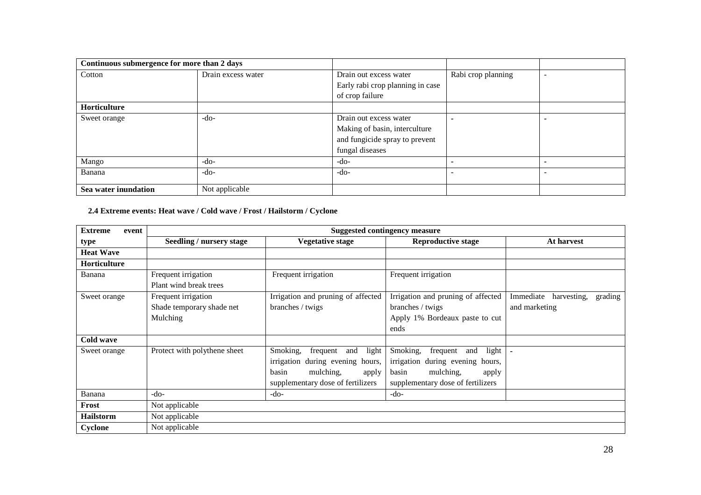| Continuous submergence for more than 2 days |                    |                                  |                    |  |
|---------------------------------------------|--------------------|----------------------------------|--------------------|--|
| Cotton                                      | Drain excess water | Drain out excess water           | Rabi crop planning |  |
|                                             |                    | Early rabi crop planning in case |                    |  |
|                                             |                    | of crop failure                  |                    |  |
| <b>Horticulture</b>                         |                    |                                  |                    |  |
| Sweet orange                                | -do-               | Drain out excess water           |                    |  |
|                                             |                    | Making of basin, interculture    |                    |  |
|                                             |                    | and fungicide spray to prevent   |                    |  |
|                                             |                    | fungal diseases                  |                    |  |
| Mango                                       | $-do-$             | $-do-$                           |                    |  |
| Banana                                      | -do-               | -do-                             |                    |  |
|                                             |                    |                                  |                    |  |
| Sea water inundation                        | Not applicable     |                                  |                    |  |

## **2.4 Extreme events: Heat wave / Cold wave / Frost / Hailstorm / Cyclone**

| <b>Extreme</b><br>event | <b>Suggested contingency measure</b> |                                    |                                    |                                     |  |
|-------------------------|--------------------------------------|------------------------------------|------------------------------------|-------------------------------------|--|
| type                    | Seedling / nursery stage             | <b>Vegetative stage</b>            | <b>Reproductive stage</b>          | At harvest                          |  |
| <b>Heat Wave</b>        |                                      |                                    |                                    |                                     |  |
| <b>Horticulture</b>     |                                      |                                    |                                    |                                     |  |
| Banana                  | Frequent irrigation                  | Frequent irrigation                | Frequent irrigation                |                                     |  |
|                         | Plant wind break trees               |                                    |                                    |                                     |  |
| Sweet orange            | Frequent irrigation                  | Irrigation and pruning of affected | Irrigation and pruning of affected | Immediate<br>harvesting,<br>grading |  |
|                         | Shade temporary shade net            | branches / twigs                   | branches / twigs                   | and marketing                       |  |
|                         | Mulching                             |                                    | Apply 1% Bordeaux paste to cut     |                                     |  |
|                         |                                      |                                    | ends                               |                                     |  |
| Cold wave               |                                      |                                    |                                    |                                     |  |
| Sweet orange            | Protect with polythene sheet         | frequent<br>and light<br>Smoking,  | Smoking,<br>and light<br>frequent  |                                     |  |
|                         |                                      | irrigation during evening hours,   | irrigation during evening hours,   |                                     |  |
|                         |                                      | basin<br>mulching,<br>apply        | mulching,<br>basin<br>apply        |                                     |  |
|                         |                                      | supplementary dose of fertilizers  | supplementary dose of fertilizers  |                                     |  |
| Banana                  | $-do-$                               | $-do-$                             | $-do-$                             |                                     |  |
| Frost                   | Not applicable                       |                                    |                                    |                                     |  |
| <b>Hailstorm</b>        | Not applicable                       |                                    |                                    |                                     |  |
| Cyclone                 | Not applicable                       |                                    |                                    |                                     |  |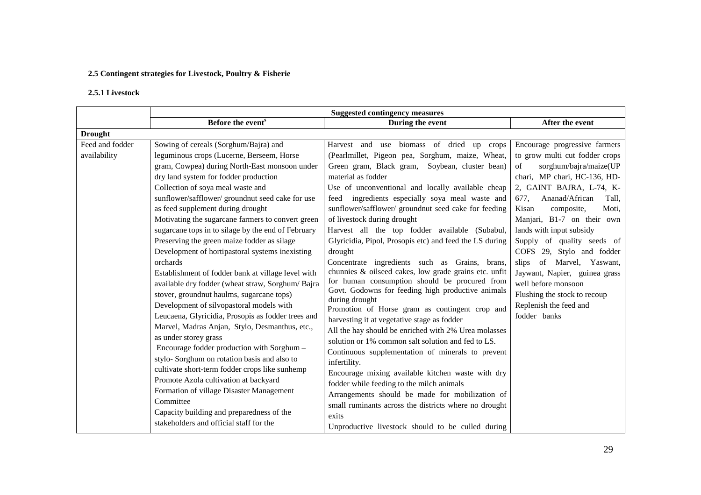# **2.5 Contingent strategies for Livestock, Poultry & Fisherie**

# **2.5.1 Livestock**

|                 | Before the event <sup>s</sup>                      | During the event                                                                                   | After the event                 |
|-----------------|----------------------------------------------------|----------------------------------------------------------------------------------------------------|---------------------------------|
| <b>Drought</b>  |                                                    |                                                                                                    |                                 |
| Feed and fodder | Sowing of cereals (Sorghum/Bajra) and              | Harvest and use biomass of dried up crops                                                          | Encourage progressive farmers   |
| availability    | leguminous crops (Lucerne, Berseem, Horse          | (Pearlmillet, Pigeon pea, Sorghum, maize, Wheat,                                                   | to grow multi cut fodder crops  |
|                 | gram, Cowpea) during North-East monsoon under      | Green gram, Black gram, Soybean, cluster bean)                                                     | sorghum/bajra/maize(UP<br>of    |
|                 | dry land system for fodder production              | material as fodder                                                                                 | chari, MP chari, HC-136, HD-    |
|                 | Collection of soya meal waste and                  | Use of unconventional and locally available cheap                                                  | 2, GAINT BAJRA, L-74, K-        |
|                 | sunflower/safflower/ groundnut seed cake for use   | feed ingredients especially soya meal waste and                                                    | Ananad/African<br>677.<br>Tall, |
|                 | as feed supplement during drought                  | sunflower/safflower/ groundnut seed cake for feeding                                               | composite,<br>Moti,<br>Kisan    |
|                 | Motivating the sugarcane farmers to convert green  | of livestock during drought                                                                        | Manjari, B1-7 on their own      |
|                 | sugarcane tops in to silage by the end of February | Harvest all the top fodder available (Subabul,                                                     | lands with input subsidy        |
|                 | Preserving the green maize fodder as silage        | Glyricidia, Pipol, Prosopis etc) and feed the LS during                                            | Supply of quality seeds of      |
|                 | Development of hortipastoral systems inexisting    | drought                                                                                            | COFS 29, Stylo and fodder       |
|                 | orchards                                           | Concentrate ingredients such as Grains, brans,                                                     | slips of Marvel, Yaswant,       |
|                 | Establishment of fodder bank at village level with | chunnies & oilseed cakes, low grade grains etc. unfit                                              | Jaywant, Napier, guinea grass   |
|                 | available dry fodder (wheat straw, Sorghum/Bajra   | for human consumption should be procured from<br>Govt. Godowns for feeding high productive animals | well before monsoon             |
|                 | stover, groundnut haulms, sugarcane tops)          | during drought                                                                                     | Flushing the stock to recoup    |
|                 | Development of silvopastoral models with           | Promotion of Horse gram as contingent crop and                                                     | Replenish the feed and          |
|                 | Leucaena, Glyricidia, Prosopis as fodder trees and | harvesting it at vegetative stage as fodder                                                        | fodder banks                    |
|                 | Marvel, Madras Anjan, Stylo, Desmanthus, etc.,     | All the hay should be enriched with 2% Urea molasses                                               |                                 |
|                 | as under storey grass                              | solution or 1% common salt solution and fed to LS.                                                 |                                 |
|                 | Encourage fodder production with Sorghum -         | Continuous supplementation of minerals to prevent                                                  |                                 |
|                 | stylo-Sorghum on rotation basis and also to        | infertility.                                                                                       |                                 |
|                 | cultivate short-term fodder crops like sunhemp     | Encourage mixing available kitchen waste with dry                                                  |                                 |
|                 | Promote Azola cultivation at backyard              | fodder while feeding to the milch animals                                                          |                                 |
|                 | Formation of village Disaster Management           | Arrangements should be made for mobilization of                                                    |                                 |
|                 | Committee                                          | small ruminants across the districts where no drought                                              |                                 |
|                 | Capacity building and preparedness of the          | exits                                                                                              |                                 |
|                 | stakeholders and official staff for the            | Unproductive livestock should to be culled during                                                  |                                 |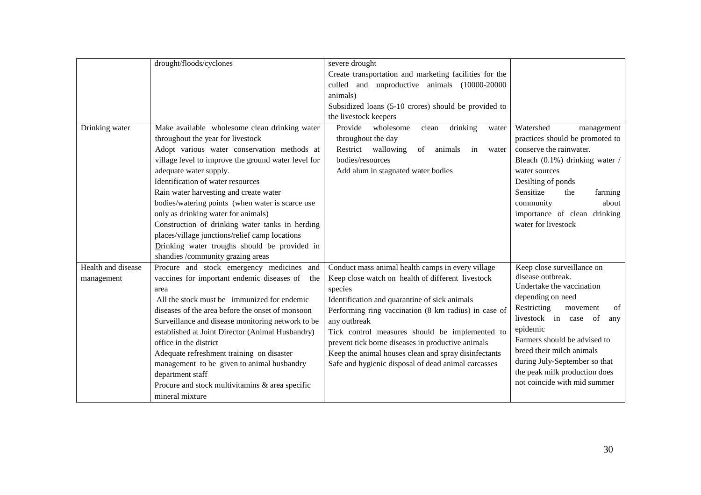|                    | drought/floods/cyclones                             | severe drought                                         |                                 |
|--------------------|-----------------------------------------------------|--------------------------------------------------------|---------------------------------|
|                    |                                                     | Create transportation and marketing facilities for the |                                 |
|                    |                                                     | culled and unproductive animals (10000-20000           |                                 |
|                    |                                                     | animals)                                               |                                 |
|                    |                                                     | Subsidized loans (5-10 crores) should be provided to   |                                 |
|                    |                                                     | the livestock keepers                                  |                                 |
| Drinking water     | Make available wholesome clean drinking water       | Provide<br>wholesome<br>drinking<br>clean<br>water     | Watershed<br>management         |
|                    | throughout the year for livestock                   | throughout the day                                     | practices should be promoted to |
|                    | Adopt various water conservation methods at         | Restrict wallowing<br>of<br>animals<br>in<br>water     | conserve the rainwater.         |
|                    | village level to improve the ground water level for | bodies/resources                                       | Bleach (0.1%) drinking water /  |
|                    | adequate water supply.                              | Add alum in stagnated water bodies                     | water sources                   |
|                    | Identification of water resources                   |                                                        | Desilting of ponds              |
|                    | Rain water harvesting and create water              |                                                        | Sensitize<br>the<br>farming     |
|                    | bodies/watering points (when water is scarce use    |                                                        | about<br>community              |
|                    | only as drinking water for animals)                 |                                                        | importance of clean drinking    |
|                    | Construction of drinking water tanks in herding     |                                                        | water for livestock             |
|                    | places/village junctions/relief camp locations      |                                                        |                                 |
|                    | Drinking water troughs should be provided in        |                                                        |                                 |
|                    | shandies /community grazing areas                   |                                                        |                                 |
| Health and disease | Procure and stock emergency medicines and           | Conduct mass animal health camps in every village      | Keep close surveillance on      |
| management         | vaccines for important endemic diseases of<br>the   | Keep close watch on health of different livestock      | disease outbreak.               |
|                    | area                                                | species                                                | Undertake the vaccination       |
|                    | All the stock must be immunized for endemic         | Identification and quarantine of sick animals          | depending on need               |
|                    | diseases of the area before the onset of monsoon    | Performing ring vaccination (8 km radius) in case of   | Restricting<br>movement<br>of   |
|                    | Surveillance and disease monitoring network to be   | any outbreak                                           | livestock in case<br>of<br>any  |
|                    | established at Joint Director (Animal Husbandry)    | Tick control measures should be implemented to         | epidemic                        |
|                    | office in the district                              | prevent tick borne diseases in productive animals      | Farmers should be advised to    |
|                    | Adequate refreshment training on disaster           | Keep the animal houses clean and spray disinfectants   | breed their milch animals       |
|                    | management to be given to animal husbandry          | Safe and hygienic disposal of dead animal carcasses    | during July-September so that   |
|                    | department staff                                    |                                                        | the peak milk production does   |
|                    | Procure and stock multivitamins & area specific     |                                                        | not coincide with mid summer    |
|                    | mineral mixture                                     |                                                        |                                 |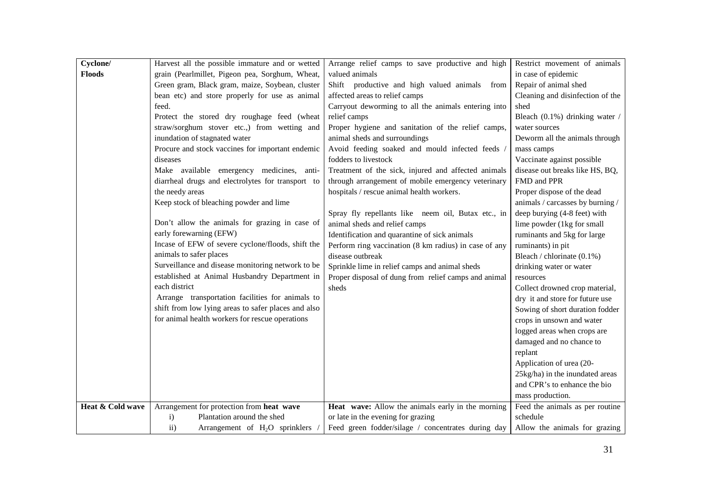| Cyclone/         | Harvest all the possible immature and or wetted     | Arrange relief camps to save productive and high      | Restrict movement of animals     |
|------------------|-----------------------------------------------------|-------------------------------------------------------|----------------------------------|
| <b>Floods</b>    | grain (Pearlmillet, Pigeon pea, Sorghum, Wheat,     | valued animals                                        | in case of epidemic              |
|                  | Green gram, Black gram, maize, Soybean, cluster     | Shift productive and high valued animals from         | Repair of animal shed            |
|                  | bean etc) and store properly for use as animal      | affected areas to relief camps                        | Cleaning and disinfection of the |
|                  | feed.                                               | Carryout deworming to all the animals entering into   | shed                             |
|                  | Protect the stored dry roughage feed (wheat         | relief camps                                          | Bleach (0.1%) drinking water /   |
|                  | straw/sorghum stover etc.,) from wetting and        | Proper hygiene and sanitation of the relief camps,    | water sources                    |
|                  | inundation of stagnated water                       | animal sheds and surroundings                         | Deworm all the animals through   |
|                  | Procure and stock vaccines for important endemic    | Avoid feeding soaked and mould infected feeds         | mass camps                       |
|                  | diseases                                            | fodders to livestock                                  | Vaccinate against possible       |
|                  | Make available emergency medicines, anti-           | Treatment of the sick, injured and affected animals   | disease out breaks like HS, BQ,  |
|                  | diarrheal drugs and electrolytes for transport to   | through arrangement of mobile emergency veterinary    | FMD and PPR                      |
|                  | the needy areas                                     | hospitals / rescue animal health workers.             | Proper dispose of the dead       |
|                  | Keep stock of bleaching powder and lime             |                                                       | animals / carcasses by burning / |
|                  |                                                     | Spray fly repellants like neem oil, Butax etc., in    | deep burying (4-8 feet) with     |
|                  | Don't allow the animals for grazing in case of      | animal sheds and relief camps                         | lime powder (1kg for small       |
|                  | early forewarning (EFW)                             | Identification and quarantine of sick animals         | ruminants and 5kg for large      |
|                  | Incase of EFW of severe cyclone/floods, shift the   | Perform ring vaccination (8 km radius) in case of any | ruminants) in pit                |
|                  | animals to safer places                             | disease outbreak                                      | Bleach / chlorinate (0.1%)       |
|                  | Surveillance and disease monitoring network to be   | Sprinkle lime in relief camps and animal sheds        | drinking water or water          |
|                  | established at Animal Husbandry Department in       | Proper disposal of dung from relief camps and animal  | resources                        |
|                  | each district                                       | sheds                                                 | Collect drowned crop material,   |
|                  | Arrange transportation facilities for animals to    |                                                       | dry it and store for future use  |
|                  | shift from low lying areas to safer places and also |                                                       | Sowing of short duration fodder  |
|                  | for animal health workers for rescue operations     |                                                       | crops in unsown and water        |
|                  |                                                     |                                                       | logged areas when crops are      |
|                  |                                                     |                                                       | damaged and no chance to         |
|                  |                                                     |                                                       | replant                          |
|                  |                                                     |                                                       | Application of urea (20-         |
|                  |                                                     |                                                       | 25kg/ha) in the inundated areas  |
|                  |                                                     |                                                       | and CPR's to enhance the bio     |
|                  |                                                     |                                                       | mass production.                 |
| Heat & Cold wave | Arrangement for protection from heat wave           | Heat wave: Allow the animals early in the morning     | Feed the animals as per routine  |
|                  | Plantation around the shed<br>$\mathbf{i}$          | or late in the evening for grazing                    | schedule                         |
|                  | Arrangement of $H_2O$ sprinklers<br>$\rm ii)$       | Feed green fodder/silage / concentrates during day    | Allow the animals for grazing    |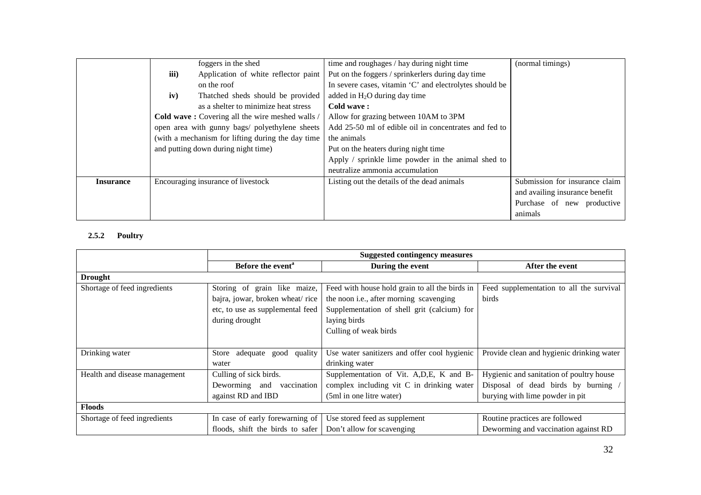|                  |                                                   | foggers in the shed                             | time and roughages / hay during night time              | (normal timings)               |
|------------------|---------------------------------------------------|-------------------------------------------------|---------------------------------------------------------|--------------------------------|
|                  | iii)                                              | Application of white reflector paint            | Put on the foggers / sprinkerlers during day time       |                                |
|                  |                                                   | on the roof                                     | In severe cases, vitamin 'C' and electrolytes should be |                                |
|                  | iv)                                               | Thatched sheds should be provided               | added in $H_2O$ during day time                         |                                |
|                  |                                                   | as a shelter to minimize heat stress            | Cold wave:                                              |                                |
|                  |                                                   | Cold wave: Covering all the wire meshed walls / | Allow for grazing between 10AM to 3PM                   |                                |
|                  |                                                   | open area with gunny bags/ polyethylene sheets  | Add 25-50 ml of edible oil in concentrates and fed to   |                                |
|                  | (with a mechanism for lifting during the day time |                                                 | the animals                                             |                                |
|                  | and putting down during night time)               |                                                 | Put on the heaters during night time                    |                                |
|                  |                                                   |                                                 | Apply / sprinkle lime powder in the animal shed to      |                                |
|                  |                                                   |                                                 | neutralize ammonia accumulation                         |                                |
| <b>Insurance</b> |                                                   | Encouraging insurance of livestock              | Listing out the details of the dead animals             | Submission for insurance claim |
|                  |                                                   |                                                 |                                                         | and availing insurance benefit |
|                  |                                                   |                                                 |                                                         | Purchase of new productive     |
|                  |                                                   |                                                 |                                                         | animals                        |

# **2.5.2 Poultry**

|                               | <b>Suggested contingency measures</b> |                                                |                                           |
|-------------------------------|---------------------------------------|------------------------------------------------|-------------------------------------------|
|                               | Before the event <sup>a</sup>         | During the event                               | After the event                           |
| <b>Drought</b>                |                                       |                                                |                                           |
| Shortage of feed ingredients  | Storing of grain like maize,          | Feed with house hold grain to all the birds in | Feed supplementation to all the survival  |
|                               | bajra, jowar, broken wheat/rice       | the noon i.e., after morning scavenging        | birds                                     |
|                               | etc, to use as supplemental feed      | Supplementation of shell grit (calcium) for    |                                           |
|                               | during drought                        | laying birds                                   |                                           |
|                               |                                       | Culling of weak birds                          |                                           |
|                               |                                       |                                                |                                           |
| Drinking water                | adequate good quality<br>Store        | Use water sanitizers and offer cool hygienic   | Provide clean and hygienic drinking water |
|                               | water                                 | drinking water                                 |                                           |
| Health and disease management | Culling of sick birds.                | Supplementation of Vit. A, D, E, K and B-      | Hygienic and sanitation of poultry house  |
|                               | Deworming and vaccination             | complex including vit C in drinking water      | Disposal of dead birds by burning /       |
|                               | against RD and IBD                    | (5ml in one litre water)                       | burying with lime powder in pit           |
| <b>Floods</b>                 |                                       |                                                |                                           |
| Shortage of feed ingredients  | In case of early forewarning of       | Use stored feed as supplement                  | Routine practices are followed            |
|                               | floods, shift the birds to safer      | Don't allow for scavenging                     | Deworming and vaccination against RD      |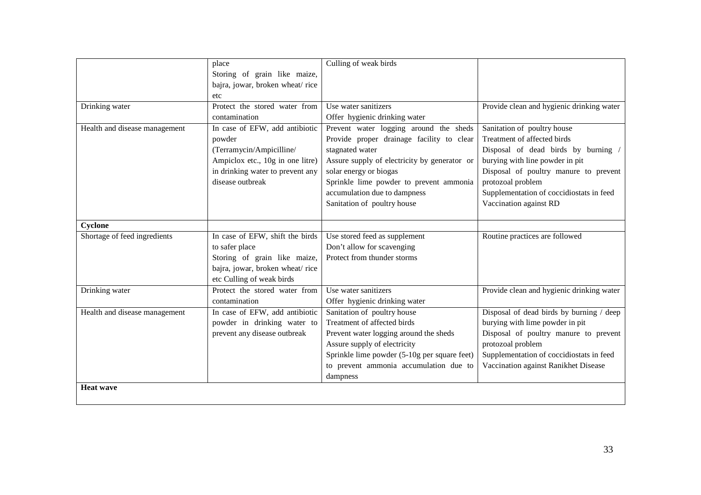|                               | place                            | Culling of weak birds                        |                                           |
|-------------------------------|----------------------------------|----------------------------------------------|-------------------------------------------|
|                               | Storing of grain like maize,     |                                              |                                           |
|                               | bajra, jowar, broken wheat/rice  |                                              |                                           |
|                               | etc                              |                                              |                                           |
| Drinking water                | Protect the stored water from    | Use water sanitizers                         | Provide clean and hygienic drinking water |
|                               | contamination                    | Offer hygienic drinking water                |                                           |
|                               |                                  |                                              |                                           |
| Health and disease management | In case of EFW, add antibiotic   | Prevent water logging around the sheds       | Sanitation of poultry house               |
|                               | powder                           | Provide proper drainage facility to clear    | Treatment of affected birds               |
|                               | (Terramycin/Ampicilline/         | stagnated water                              | Disposal of dead birds by burning         |
|                               | Ampiclox etc., 10g in one litre) | Assure supply of electricity by generator or | burying with line powder in pit           |
|                               | in drinking water to prevent any | solar energy or biogas                       | Disposal of poultry manure to prevent     |
|                               | disease outbreak                 | Sprinkle lime powder to prevent ammonia      | protozoal problem                         |
|                               |                                  | accumulation due to dampness                 | Supplementation of coccidiostats in feed  |
|                               |                                  | Sanitation of poultry house                  | Vaccination against RD                    |
|                               |                                  |                                              |                                           |
| Cyclone                       |                                  |                                              |                                           |
| Shortage of feed ingredients  | In case of EFW, shift the birds  | Use stored feed as supplement                | Routine practices are followed            |
|                               | to safer place                   | Don't allow for scavenging                   |                                           |
|                               | Storing of grain like maize,     | Protect from thunder storms                  |                                           |
|                               | bajra, jowar, broken wheat/rice  |                                              |                                           |
|                               | etc Culling of weak birds        |                                              |                                           |
| Drinking water                | Protect the stored water from    | Use water sanitizers                         | Provide clean and hygienic drinking water |
|                               | contamination                    | Offer hygienic drinking water                |                                           |
| Health and disease management | In case of EFW, add antibiotic   | Sanitation of poultry house                  | Disposal of dead birds by burning / deep  |
|                               | powder in drinking water to      | Treatment of affected birds                  | burying with lime powder in pit           |
|                               | prevent any disease outbreak     | Prevent water logging around the sheds       | Disposal of poultry manure to prevent     |
|                               |                                  | Assure supply of electricity                 | protozoal problem                         |
|                               |                                  | Sprinkle lime powder (5-10g per square feet) | Supplementation of coccidiostats in feed  |
|                               |                                  | to prevent ammonia accumulation due to       | Vaccination against Ranikhet Disease      |
|                               |                                  |                                              |                                           |
|                               |                                  | dampness                                     |                                           |
| <b>Heat wave</b>              |                                  |                                              |                                           |
|                               |                                  |                                              |                                           |